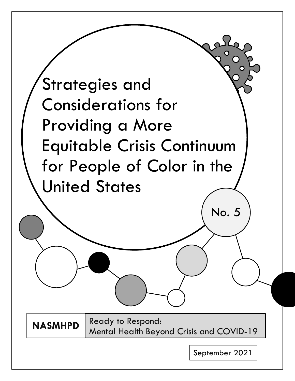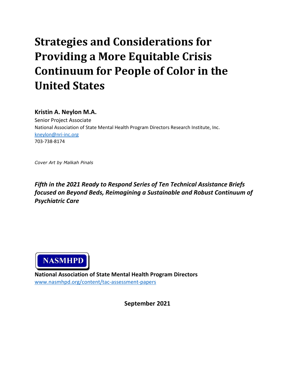# **Strategies and Considerations for Providing a More Equitable Crisis Continuum for People of Color in the United States**

## **Kristin A. Neylon M.A.**

Senior Project Associate National Association of State Mental Health Program Directors Research Institute, Inc. [kneylon@nri-inc.org](mailto:kneylon@nri-inc.org) 703-738-8174

*Cover Art by Malkah Pinals*

*Fifth in the 2021 Ready to Respond Series of Ten Technical Assistance Briefs focused on Beyond Beds, Reimagining a Sustainable and Robust Continuum of Psychiatric Care*



**National Association of State Mental Health Program Directors** [www.nasmhpd.org/content/tac-assessment-papers](http://www.nasmhpd.org/content/tac-assessment-papers)

**September 2021**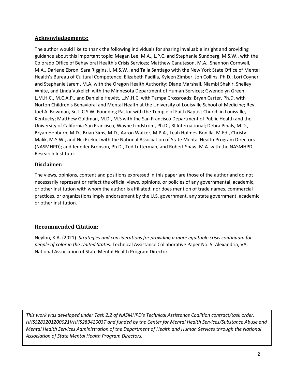## **Acknowledgements:**

The author would like to thank the following individuals for sharing invaluable insight and providing guidance about this important topic: Megan Lee, M.A., L.P.C. and Stephanie Sundberg, M.S.W., with the Colorado Office of Behavioral Health's Crisis Services; Matthew Canuteson, M.A., Shannon Cornwall, M.A., Darlene Ebron, Sara Riggins, L.M.S.W., and Talia Santiago with the New York State Office of Mental Health's Bureau of Cultural Competence; Elizabeth Padilla, Kyleen Zimber, Jon Collins, Ph.D., Lori Coyner, and Stephanie Jarem, M.A. with the Oregon Health Authority; Diane Marshall, Niambi Shakir, Shelley White, and Linda Vukelich with the Minnesota Department of Human Services; Gwendolyn Green, L.M.H.C., M.C.A.P., and Danielle Hewitt, L.M.H.C. with Tampa Crossroads; Bryan Carter, Ph.D. with Norton Children's Behavioral and Mental Health at the University of Louisville School of Medicine; Rev. Joel A. Bowman, Sr. L.C.S.W. Founding Pastor with the Temple of Faith Baptist Church in Louisville, Kentucky; Matthew Goldman, M.D., M.S with the San Francisco Department of Public Health and the University of California San Francisco; Wayne Lindstrom, Ph.D., RI International; Debra Pinals, M.D., Bryan Hepburn, M.D., Brian Sims, M.D., Aaron Walker, M.P.A., Leah Holmes-Bonilla, M.Ed., Christy Malik, M.S.W., and Nili Ezekiel with the National Association of State Mental Health Program Directors (NASMHPD); and Jennifer Bronson, Ph.D., Ted Lutterman, and Robert Shaw, M.A. with the NASMHPD Research Institute.

#### **Disclaimer:**

The views, opinions, content and positions expressed in this paper are those of the author and do not necessarily represent or reflect the official views, opinions, or policies of any governmental, academic, or other institution with whom the author is affiliated; nor does mention of trade names, commercial practices, or organizations imply endorsement by the U.S. government, any state government, academic or other institution.

#### **Recommended Citation:**

Neylon, K.A. (2021). *Strategies and considerations for providing a more equitable crisis continuum for people of color in the United States.* Technical Assistance Collaborative Paper No. 5. Alexandria, VA: National Association of State Mental Health Program Director

*This work was developed under Task 2.2 of NASMHPD's Technical Assistance Coalition contract/task order, HHSS283201200021I/HHS28342003T and funded by the Center for Mental Health Services/Substance Abuse and Mental Health Services Administration of the Department of Health and Human Services through the National Association of State Mental Health Program Directors.*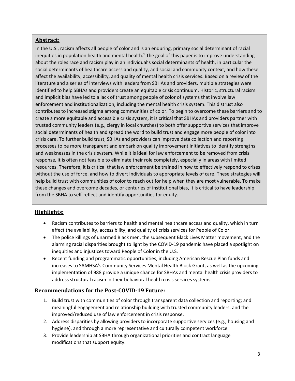#### **Abstract:**

In the U.S., racism affects all people of color and is an enduring, primary social determinant of racial inequities in population health and mental health.<sup>1</sup> The goal of this paper is to improve understanding about the roles race and racism play in an individual's social determinants of health, in particular the social determinants of healthcare access and quality, and social and community context, and how these affect the availability, accessibility, and quality of mental health crisis services. Based on a review of the literature and a series of interviews with leaders from SBHAs and providers, multiple strategies were identified to help SBHAs and providers create an equitable crisis continuum. Historic, structural racism and implicit bias have led to a lack of trust among people of color of systems that involve law enforcement and institutionalization, including the mental health crisis system. This distrust also contributes to increased stigma among communities of color. To begin to overcome these barriers and to create a more equitable and accessible crisis system, it is critical that SBHAs and providers partner with trusted community leaders (e.g., clergy in local churches) to both offer supportive services that improve social determinants of health and spread the word to build trust and engage more people of color into crisis care. To further build trust, SBHAs and providers can improve data collection and reporting processes to be more transparent and embark on quality improvement initiatives to identify strengths and weaknesses in the crisis system. While it is ideal for law enforcement to be removed from crisis response, it is often not feasible to eliminate their role completely, especially in areas with limited resources. Therefore, it is critical that law enforcement be trained in how to effectively respond to crises without the use of force, and how to divert individuals to appropriate levels of care. These strategies will help build trust with communities of color to reach out for help when they are most vulnerable. To make these changes and overcome decades, or centuries of institutional bias, it is critical to have leadership from the SBHA to self-reflect and identify opportunities for equity.

#### **Highlights:**

- Racism contributes to barriers to health and mental healthcare access and quality, which in turn affect the availability, accessibility, and quality of crisis services for People of Color.
- The police killings of unarmed Black men, the subsequent Black Lives Matter movement, and the alarming racial disparities brought to light by the COVID-19 pandemic have placed a spotlight on inequities and injustices toward People of Color in the U.S.
- Recent funding and programmatic opportunities, including American Rescue Plan funds and increases to SAMHSA's Community Services Mental Health Block Grant, as well as the upcoming implementation of 988 provide a unique chance for SBHAs and mental health crisis providers to address structural racism in their behavioral health crisis services systems.

#### **Recommendations for the Post-COVID-19 Future:**

- 1. Build trust with communities of color through transparent data collection and reporting; and meaningful engagement and relationship building with trusted community leaders; and the improved/reduced use of law enforcement in crisis response.
- 2. Address disparities by allowing providers to incorporate supportive services (e.g., housing and hygiene), and through a more representative and culturally competent workforce.
- 3. Provide leadership at SBHA through organizational priorities and contract language modifications that support equity.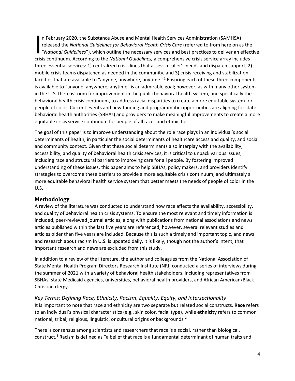In February 2020, the Substance Abuse and Mental Health Services Administration (SAMHSA)<br>released the *National Guidelines for Behavioral Health Crisis Care* (referred to from here on as the<br>"National Guidelines"), which o n February 2020, the Substance Abuse and Mental Health Services Administration (SAMHSA) released the *National Guidelines for Behavioral Health Crisis Care* (referred to from here on as the "*National Guidelines*"), which outline the necessary services and best practices to deliver an effective three essential services: 1) centralized crisis lines that assess a caller's needs and dispatch support, 2) mobile crisis teams dispatched as needed in the community, and 3) crisis receiving and stabilization facilities that are available to "anyone, anywhere, anytime."1 Ensuring each of these three components is available to "anyone, anywhere, anytime" is an admirable goal; however, as with many other system in the U.S. there is room for improvement in the public behavioral health system, and specifically the behavioral health crisis continuum, to address racial disparities to create a more equitable system for people of color. Current events and new funding and programmatic opportunities are aligning for state behavioral health authorities (SBHAs) and providers to make meaningful improvements to create a more equitable crisis service continuum for people of all races and ethnicities.

The goal of this paper is to improve understanding about the role race plays in an individual's social determinants of health, in particular the social determinants of healthcare access and quality, and social and community context. Given that these social determinants also interplay with the availability, accessibility, and quality of behavioral health crisis services, it is critical to unpack various issues, including race and structural barriers to improving care for all people. By fostering improved understanding of these issues, this paper aims to help SBHAs, policy makers, and providers identify strategies to overcome these barriers to provide a more equitable crisis continuum, and ultimately a more equitable behavioral health service system that better meets the needs of people of color in the U.S.

#### **Methodology**

A review of the literature was conducted to understand how race affects the availability, accessibility, and quality of behavioral health crisis systems. To ensure the most relevant and timely information is included, peer-reviewed journal articles, along with publications from national associations and news articles published within the last five years are referenced; however, several relevant studies and articles older than five years are included. Because this is such a timely and important topic, and news and research about racism in U.S. is updated daily, it is likely, though not the author's intent, that important research and news are excluded from this study.

In addition to a review of the literature, the author and colleagues from the National Association of State Mental Health Program Directors Research Institute (NRI) conducted a series of interviews during the summer of 2021 with a variety of behavioral health stakeholders, including representatives from SBHAs, state Medicaid agencies, universities, behavioral health providers, and African American/Black Christian clergy.

*Key Terms: Defining Race, Ethnicity, Racism, Equality, Equity, and Intersectionality* It is important to note that race and ethnicity are two separate but related social constructs. **Race** refers to an individual's physical characteristics (e.g., skin color, facial type), while **ethnicity** refers to common national, tribal, religious, linguistic, or cultural origins or backgrounds.<sup>2</sup>

There is consensus among scientists and researchers that race is a social, rather than biological, construct.3 Racism is defined as "a belief that race is a fundamental determinant of human traits and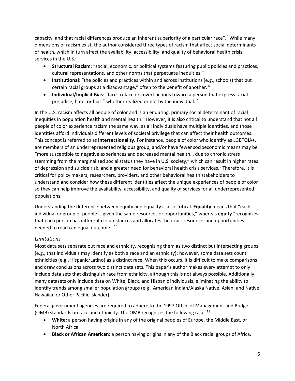capacity, and that racial differences produce an inherent superiority of a particular race".4 While many dimensions of racism exist, the author considered three types of racism that affect social determinants of health, which in turn affect the availability, accessibility, and quality of behavioral health crisis services in the U.S.:

- **Structural Racism**: "social, economic, or political systems featuring public policies and practices, cultural representations, and other norms that perpetuate inequities." <sup>5</sup>
- **Institutional**: "the policies and practices within and across institutions (e.g., schools) that put certain racial groups at a disadvantage," often to the benefit of another. <sup>6</sup>
- **Individual/Implicit Bias**: "face-to-face or covert actions toward a person that express racial prejudice, hate, or bias," whether realized or not by the individual.<sup>7</sup>

In the U.S. racism affects all people of color and is an enduring, primary social determinant of racial inequities in population health and mental health.<sup>8</sup> However, it is also critical to understand that not all people of color experience racism the same way, as all individuals have multiple identities, and those identities afford individuals different levels of societal privilege that can affect their health outcomes. This concept is referred to as **intersectionality.** For instance, people of color who identify as LGBTQIA+, are members of an underrepresented religious group, and/or have fewer socioeconomic means may be "more susceptible to negative experiences and decreased mental health… due to chronic stress stemming from the marginalized social status they have in U.S. society," which can result in higher rates of depression and suicide risk, and a greater need for behavioral health crisis services.<sup>9</sup> Therefore, it is critical for policy makers, researchers, providers, and other behavioral health stakeholders to understand and consider how these different identities affect the unique experiences of people of color so they can help improve the availability, accessibility, and quality of services for all underrepresented populations.

Understanding the difference between equity and equality is also critical. **Equality** means that "each individual or group of people is given the same resources or opportunities," whereas **equity** "recognizes that each person has different circumstances and allocates the exact resources and opportunities needed to reach an equal outcome."10

#### *Limitations*

Most data sets separate out race and ethnicity, recognizing them as two distinct but intersecting groups (e.g., that individuals may identify as both a race and an ethnicity); however, some data sets count ethnicities (e.g., Hispanic/Latino) as a distinct race. When this occurs, it is difficult to make comparisons and draw conclusions across two distinct data sets. This paper's author makes every attempt to only include data sets that distinguish race from ethnicity, although this is not always possible. Additionally, many datasets only include data on White, Black, and Hispanic individuals, eliminating the ability to identify trends among smaller population groups (e.g., American Indian/Alaska Native, Asian, and Native Hawaiian or Other Pacific Islander).

Federal government agencies are required to adhere to the 1997 Office of Management and Budget (OMB) standards on race and ethnicity. The OMB recognizes the following races<sup>11</sup>

- **White:** a person having origins in any of the original peoples of Europe, the Middle East, or North Africa.
- **Black or African American:** a person having origins in any of the Black racial groups of Africa.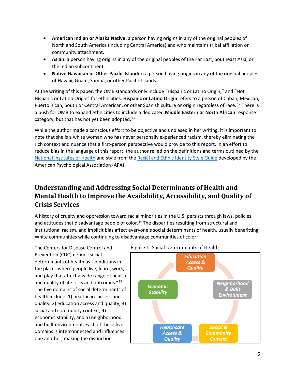- **American Indian or Alaska Native:** a person having origins in any of the original peoples of North and South America (including Central America) and who maintains tribal affiliation or community attachment.
- **Asian:** a person having origins in any of the original peoples of the Far East, Southeast Asia, or the Indian subcontinent.
- **Native Hawaiian or Other Pacific Islander:** a person having origins in any of the original peoples of Hawaii, Guam, Samoa, or other Pacific Islands.

At the writing of this paper, the OMB standards only include "Hispanic or Latino Origin," and "Not Hispanic or Latino Origin" for ethnicities. **Hispanic or Latino Origin** refers to a person of Cuban, Mexican, Puerto Rican, South or Central American, or other Spanish culture or origin regardless of race. <sup>12</sup> There is a push for OMB to expand ethnicities to include a dedicated **Middle Eastern or North African** response category, but that has not yet been adopted.<sup>13</sup>

While the author made a conscious effort to be objective and unbiased in her writing, it is important to note that she is a white woman who has never personally experienced racism, thereby eliminating the rich context and nuance that a first-person perspective would provide to this report. In an effort to reduce bias in the language of this report, the author relied on the definitions and terms outlined by the [National Institutes of Health](https://www.edi.nih.gov/blog/communities/understanding-racial-terms-and-differences) and style from the [Racial and Ethnic Identity Style Guide](https://apastyle.apa.org/style-grammar-guidelines/bias-free-language/racial-ethnic-minorities) developed by the American Psychological Association (APA).

# **Understanding and Addressing Social Determinants of Health and Mental Health to Improve the Availability, Accessibility, and Quality of Crisis Services**

A history of cruelty and oppression toward racial minorities in the U.S. persists through laws, policies, and attitudes that disadvantage people of color.<sup>14</sup> The disparities resulting from structural and institutional racism, and implicit bias affect everyone's social determinants of health, usually benefitting White communities while continuing to disadvantage communities of color.

The Centers for Disease Control and Prevention (CDC) defines social determinants of health as "conditions in the places where people live, learn, work, and play that affect a wide range of health and quality of life risks and outcomes."15 The five domains of social determinants of health include: 1) healthcare access and quality, 2) education access and quality, 3) social and community context, 4) economic stability, and 5) neighborhood and built environment. Each of these five domains is interconnected and influences one another, making the distinction



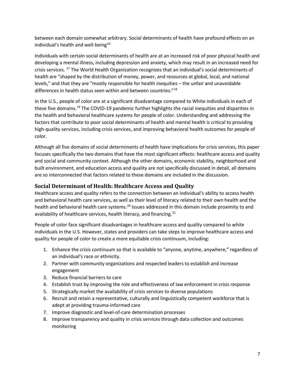between each domain somewhat arbitrary. Social determinants of health have profound effects on an individual's health and well-being<sup>16</sup>

Individuals with certain social determinants of health are at an increased risk of poor physical health and developing a mental illness, including depression and anxiety, which may result in an increased need for crisis services. <sup>17</sup> The World Health Organization recognizes that an individual's social determinants of health are "shaped by the distribution of money, power, and resources at global, local, and national levels," and that they are "mostly responsible for health inequities – the unfair and unavoidable differences in health status seen within and between countries."<sup>18</sup>

In the U.S., people of color are at a significant disadvantage compared to White individuals in each of these five domains.<sup>19</sup> The COVID-19 pandemic further highlights the racial inequities and disparities in the health and behavioral healthcare systems for people of color. Understanding and addressing the factors that contribute to poor social determinants of health and mental health is critical to providing high-quality services, including crisis services, and improving behavioral health outcomes for people of color.

Although all five domains of social determinants of health have implications for crisis services, this paper focuses specifically the two domains that have the most significant effects: healthcare access and quality and social and community context. Although the other domains, economic stability, neighborhood and built environment, and education access and quality are not specifically discussed in detail, all domains are so interconnected that factors related to these domains are included in the discussion.

### **Social Determinant of Health: Healthcare Access and Quality**

Healthcare access and quality refers to the connection between an individual's ability to access health and behavioral health care services, as well as their level of literacy related to their own health and the health and behavioral health care systems.<sup>20</sup> Issues addressed in this domain include proximity to and availability of healthcare services, health literacy, and financing.<sup>21</sup>

People of color face significant disadvantages in healthcare access and quality compared to white individuals in the U.S. However, states and providers can take steps to improve healthcare access and quality for people of color to create a more equitable crisis continuum, including:

- 1. Enhance the crisis continuum so that is available to "anyone, anytime, anywhere," regardless of an individual's race or ethnicity.
- 2. Partner with community organizations and respected leaders to establish and increase engagement
- 3. Reduce financial barriers to care
- 4. Establish trust by improving the role and effectiveness of law enforcement in crisis response
- 5. Strategically market the availability of crisis services to diverse populations
- 6. Recruit and retain a representative, culturally and linguistically competent workforce that is adept at providing trauma-informed care
- 7. Improve diagnostic and level-of-care determination processes
- 8. Improve transparency and quality in crisis services through data collection and outcomes monitoring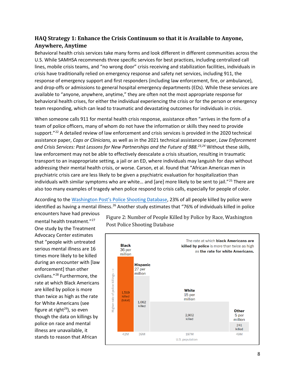## **HAQ Strategy 1: Enhance the Crisis Continuum so that it is Available to Anyone, Anywhere, Anytime**

Behavioral health crisis services take many forms and look different in different communities across the U.S. While SAMHSA recommends three specific services for best practices, including centralized call lines, mobile crisis teams, and "no wrong door" crisis receiving and stabilization facilities, individuals in crisis have traditionally relied on emergency response and safety net services, including 911, the response of emergency support and first responders (including law enforcement, fire, or ambulance), and drop-offs or admissions to general hospital emergency departments (EDs). While these services are available to "anyone, anywhere, anytime," they are often not the most appropriate response for behavioral health crises, for either the individual experiencing the crisis or for the person or emergency team responding, which can lead to traumatic and devastating outcomes for individuals in crisis.

When someone calls 911 for mental health crisis response, assistance often "arrives in the form of a team of police officers, many of whom do not have the information or skills they need to provide support."<sup>22</sup> A detailed review of law enforcement and crisis services is provided in the 2020 technical assistance paper, *Cops or Clinicians,* as well as in the 2021 technical assistance paper, *Law Enforcement and Crisis Services: Past Lessons for New Partnerships and the Future of 988. <sup>23</sup>,<sup>24</sup>* Without these skills, law enforcement may not be able to effectively deescalate a crisis situation, resulting in traumatic transport to an inappropriate setting, a jail or an ED, where individuals may languish for days without addressing their mental health crisis, or worse. Carson, et al. found that "African American men in psychiatric crisis care are less likely to be given a psychiatric evaluation for hospitalization than individuals with similar symptoms who are white… and [are] more likely to be sent to jail." <sup>25</sup> There are also too many examples of tragedy when police respond to crisis calls, especially for people of color.

According to the [Washington Post's Police](https://www.washingtonpost.com/graphics/investigations/police-shootings-database/) Shooting Database, 23% of all people killed by police were identified as having a mental illness.<sup>26</sup> Another study estimates that "76% of individuals killed in police

encounters have had previous mental health treatment."<sup>27</sup> One study by the Treatment Advocacy Center estimates that "people with untreated serious mental illness are 16 times more likely to be killed during an encounter with [law enforcement] than other civilians."<sup>28</sup> Furthermore, the rate at which Black Americans are killed by police is more than twice as high as the rate for White Americans (see figure at right $^{29}$ ), so even though the data on killings by police on race and mental illness are unavailable, it stands to reason that African

Figure 2: Number of People Killed by Police by Race, Washington Post Police Shooting Database

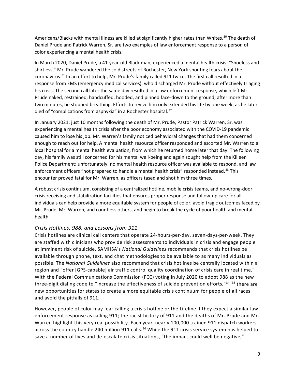Americans/Blacks with mental illness are killed at significantly higher rates than Whites.<sup>30</sup> The death of Daniel Prude and Patrick Warren, Sr. are two examples of law enforcement response to a person of color experiencing a mental health crisis.

In March 2020, Daniel Prude, a 41-year-old Black man, experienced a mental health crisis. "Shoeless and shirtless," Mr. Prude wandered the cold streets of Rochester, New York shouting fears about the coronavirus.<sup>31</sup> In an effort to help, Mr. Prude's family called 911 twice. The first call resulted in a response from EMS (emergency medical services), who discharged Mr. Prude without effectively triaging his crisis. The second call later the same day resulted in a law enforcement response, which left Mr. Prude naked, restrained, handcuffed, hooded, and pinned face-down to the ground; after more than two minutes, he stopped breathing. Efforts to revive him only extended his life by one week, as he later died of "complications from asphyxia" in a Rochester hospital.<sup>32</sup>

In January 2021, just 10 months following the death of Mr. Prude, Pastor Patrick Warren, Sr. was experiencing a mental health crisis after the poor economy associated with the COVID-19 pandemic caused him to lose his job. Mr. Warren's family noticed behavioral changes that had them concerned enough to reach out for help. A mental health resource officer responded and escorted Mr. Warren to a local hospital for a mental health evaluation, from which he returned home later that day. The following day, his family was still concerned for his mental well-being and again sought help from the Killeen Police Department; unfortunately, no mental health resource officer was available to respond, and law enforcement officers "not prepared to handle a mental health crisis" responded instead.<sup>33</sup> This encounter proved fatal for Mr. Warren, as officers tased and shot him three times.

A robust crisis continuum, consisting of a centralized hotline, mobile crisis teams, and no-wrong-door crisis receiving and stabilization facilities that ensures proper response and follow-up care for all individuals can help provide a more equitable system for people of color, avoid tragic outcomes faced by Mr. Prude, Mr. Warren, and countless others, and begin to break the cycle of poor health and mental health.

#### *Crisis Hotlines, 988, and Lessons from 911*

Crisis hotlines are clinical call centers that operate 24-hours-per-day, seven-days-per-week. They are staffed with clinicians who provide risk assessments to individuals in crisis and engage people at imminent risk of suicide. SAMHSA's *National Guidelines* recommends that crisis hotlines be available through phone, text, and chat methodologies to be available to as many individuals as possible. The *National Guidelines* also recommend that crisis hotlines be centrally located within a region and "offer [GPS-capable] air traffic control quality coordination of crisis care in real time." With the Federal Communications Commission (FCC) voting in July 2020 to adopt 988 as the new three-digit dialing code to "increase the effectiveness of suicide prevention efforts," $34$ ,  $35$  there are new opportunities for states to create a more equitable crisis continuum for people of all races and avoid the pitfalls of 911.

However, people of color may fear calling a crisis hotline or the Lifeline if they expect a similar law enforcement response as calling 911; the racist history of 911 and the deaths of Mr. Prude and Mr. Warren highlight this very real possibility. Each year, nearly 100,000 trained 911 dispatch workers across the country handle 240 million 911 calls.<sup>36</sup> While the 911 crisis service system has helped to save a number of lives and de-escalate crisis situations, "the impact could well be negative,"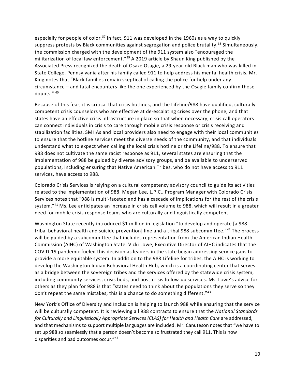especially for people of color.<sup>37</sup> In fact, 911 was developed in the 1960s as a way to quickly suppress protests by Black communities against segregation and police brutality.<sup>38</sup> Simultaneously, the commission charged with the development of the 911 system also "encouraged the militarization of local law enforcement."<sup>39</sup> A 2019 article by Shaun King published by the Associated Press recognized the death of Osaze Osagie, a 29-year-old Black man who was killed in State College, Pennsylvania after his family called 911 to help address his mental health crisis. Mr. King notes that "Black families remain skeptical of calling the police for help under any circumstance – and fatal encounters like the one experienced by the Osagie family confirm those doubts." <sup>40</sup>

Because of this fear, it is critical that crisis hotlines, and the Lifeline/988 have qualified, culturally competent crisis counselors who are effective at de-escalating crises over the phone, and that states have an effective crisis infrastructure in place so that when necessary, crisis call operators can connect individuals in crisis to care through mobile crisis response or crisis receiving and stabilization facilities. SMHAs and local providers also need to engage with their local communities to ensure that the hotline services meet the diverse needs of the community, and that individuals understand what to expect when calling the local crisis hotline or the Lifeline/988. To ensure that 988 does not cultivate the same racist response as 911, several states are ensuring that the implementation of 988 be guided by diverse advisory groups, and be available to underserved populations, including ensuring that Native American Tribes, who do not have access to 911 services, have access to 988.

Colorado Crisis Services is relying on a cultural competency advisory council to guide its activities related to the implementation of 988. Megan Lee, L.P.C., Program Manager with Colorado Crisis Services notes that "988 is multi-faceted and has a cascade of implications for the rest of the crisis system."41 Ms. Lee anticipates an increase in crisis call volume to 988, which will result in a greater need for mobile crisis response teams who are culturally and linguistically competent.

Washington State recently introduced \$1 million in legislation "to develop and operate [a 988 tribal behavioral health and suicide prevention] line and a tribal 988 subcommittee."<sup>42</sup> The process will be guided by a subcommittee that includes representation from the American Indian Health Commission (AIHC) of Washington State. Vicki Lowe, Executive Director of AIHC indicates that the COVID-19 pandemic fueled this decision as leaders in the state began addressing service gaps to provide a more equitable system. In addition to the 988 Lifeline for tribes, the AIHC is working to develop the Washington Indian Behavioral Health Hub, which is a coordinating center that serves as a bridge between the sovereign tribes and the services offered by the statewide crisis system, including community services, crisis beds, and post-crisis follow-up services. Ms. Lowe's advice for others as they plan for 988 is that "states need to think about the populations they serve so they don't repeat the same mistakes; this is a chance to do something different."<sup>43</sup>

New York's Office of Diversity and Inclusion is helping to launch 988 while ensuring that the service will be culturally competent. It is reviewing all 988 contracts to ensure that the *National Standards for Culturally and Linguistically Appropriate Services (CLAS) for Health and Health Care* are addressed, and that mechanisms to support multiple languages are included. Mr. Canuteson notes that "we have to set up 988 so seamlessly that a person doesn't become so frustrated they call 911. This is how disparities and bad outcomes occur."44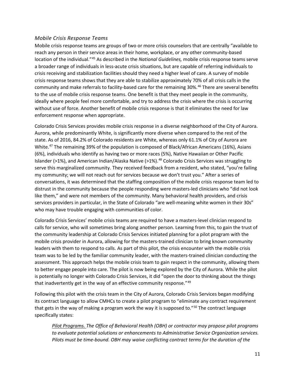#### *Mobile Crisis Response Teams*

Mobile crisis response teams are groups of two or more crisis counselors that are centrally "available to reach any person in their service areas in their home, workplace, or any other community-based location of the individual."45 As described in the *National Guidelines,* mobile crisis response teams serve a broader range of individuals in less-acute crisis situations, but are capable of referring individuals to crisis receiving and stabilization facilities should they need a higher level of care. A survey of mobile crisis response teams shows that they are able to stabilize approximately 70% of all crisis calls in the community and make referrals to facility-based care for the remaining 30%.<sup>46</sup> There are several benefits to the use of mobile crisis response teams. One benefit is that they meet people in the community, ideally where people feel more comfortable, and try to address the crisis where the crisis is occurring without use of force. Another benefit of mobile crisis response is that it eliminates the need for law enforcement response when appropriate.

Colorado Crisis Services provides mobile crisis response in a diverse neighborhood of the City of Aurora. Aurora, while predominantly White, is significantly more diverse when compared to the rest of the state. As of 2016, 84.2% of Colorado residents are White, whereas only 61.1% of City of Aurora are White.<sup>47</sup> The remaining 39% of the population is composed of Black/African Americans (16%), Asians (6%), individuals who identify as having two or more races (5%), Native Hawaiian or Other Pacific Islander (>1%), and American Indian/Alaska Native (>1%).<sup>48</sup> Colorado Crisis Services was struggling to serve this marginalized community. They received feedback from a resident, who stated, "you're failing my community; we will not reach out for services because we don't trust you." After a series of conversations, it was determined that the staffing composition of the mobile crisis response team led to distrust in the community because the people responding were masters-led clinicians who "did not look like them," and were not members of the community. Many behavioral health providers, and crisis services providers in particular, in the State of Colorado "are well-meaning white women in their 30s" who may have trouble engaging with communities of color.

Colorado Crisis Services' mobile crisis teams are required to have a masters-level clinician respond to calls for service, who will sometimes bring along another person. Learning from this, to gain the trust of the community leadership at Colorado Crisis Services initiated planning for a pilot program with the mobile crisis provider in Aurora, allowing for the masters-trained clinician to bring known community leaders with them to respond to calls. As part of this pilot, the crisis encounter with the mobile crisis team was to be led by the familiar community leader, with the masters-trained clinician conducting the assessment. This approach helps the mobile crisis team to gain respect in the community, allowing them to better engage people into care. The pilot is now being explored by the City of Aurora. While the pilot is potentially no longer with Colorado Crisis Services, it did "open the door to thinking about the things that inadvertently get in the way of an effective community response."<sup>49</sup>

Following this pilot with the crisis team in the City of Aurora, Colorado Crisis Services began modifying its contract language to allow CMHCs to create a pilot program to "eliminate any contract requirement that gets in the way of making a program work the way it is supposed to."<sup>50</sup> The contract language specifically states:

*Pilot Programs. The Office of Behavioral Health (OBH) or contractor may propose pilot programs to evaluate potential solutions or enhancements to Administrative Service Organization services. Pilots must be time-bound. OBH may waive conflicting contract terms for the duration of the*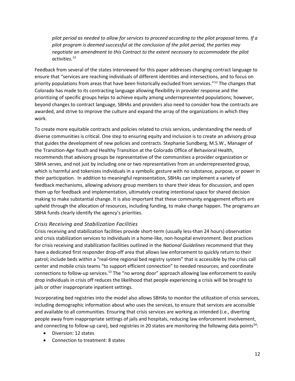*pilot period as needed to allow for services to proceed according to the pilot proposal terms. If a pilot program is deemed successful at the conclusion of the pilot period, the parties may negotiate an amendment to this Contract to the extent necessary to accommodate the pilot activities.51*

Feedback from several of the states interviewed for this paper addresses changing contract language to ensure that "services are reaching individuals of different identities and intersections, and to focus on priority populations from areas that have been historically excluded from services."<sup>52</sup> The changes that Colorado has made to its contracting language allowing flexibility in provider response and the prioritizing of specific groups helps to achieve equity among underrepresented populations; however, beyond changes to contract language, SBHAs and providers also need to consider how the contracts are awarded, and strive to improve the culture and expand the array of the organizations in which they work.

To create more equitable contracts and policies related to crisis services, understanding the needs of diverse communities is critical. One step to ensuring equity and inclusion is to create an advisory group that guides the development of new policies and contracts. Stephanie Sundberg, M.S.W., Manager of the Transition-Age Youth and Healthy Transition at the Colorado Office of Behavioral Health, recommends that advisory groups be representative of the communities a provider organization or SBHA serves, and not just by including one or two representatives from an underrepresented group, which is harmful and tokenizes individuals in a symbolic gesture with no substance, purpose, or power in their participation. In addition to meaningful representation, SBHAs can implement a variety of feedback mechanisms, allowing advisory group members to share their ideas for discussion, and open them up for feedback and implementation, ultimately creating intentional space for shared decision making to make substantial change. It is also important that these community engagement efforts are upheld through the allocation of resources, including funding, to make change happen. The programs an SBHA funds clearly identify the agency's priorities.

#### *Crisis Receiving and Stabilization Facilities*

Crisis receiving and stabilization facilities provide short-term (usually less-than 24 hours) observation and crisis stabilization services to individuals in a home-like, non-hospital environment. Best practices for crisis receiving and stabilization facilities outlined in the *National Guidelines* recommend that they have a dedicated first responder drop-off area that allows law enforcement to quickly return to their patrol; include beds within a "real-time regional bed registry system" that is accessible by the crisis call center and mobile crisis teams "to support efficient connection" to needed resources; and coordinate connections to follow-up services.<sup>53</sup> The "no wrong door" approach allowing law enforcement to easily drop individuals in crisis off reduces the likelihood that people experiencing a crisis will be brought to jails or other inappropriate inpatient settings.

Incorporating bed registries into the model also allows SBHAs to monitor the utilization of crisis services, including demographic information about who uses the services, to ensure that services are accessible and available to all communities. Ensuring that crisis services are working as intended (i.e., diverting people away from inappropriate settings of jails and hospitals, reducing law enforcement involvement, and connecting to follow-up care), bed registries in 20 states are monitoring the following data points<sup>54</sup>:

- Diversion: 12 states
- Connection to treatment: 8 states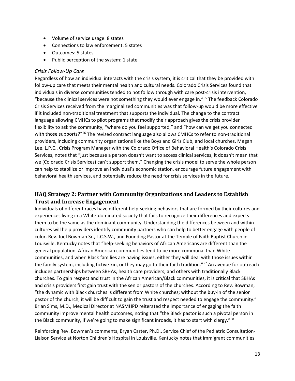- Volume of service usage: 8 states
- Connections to law enforcement: 5 states
- Outcomes: 5 states
- Public perception of the system: 1 state

#### *Crisis Follow-Up Care*

Regardless of how an individual interacts with the crisis system, it is critical that they be provided with follow-up care that meets their mental health and cultural needs. Colorado Crisis Services found that individuals in diverse communities tended to not follow through with care post-crisis intervention, "because the clinical services were not something they would ever engage in."55 The feedback Colorado Crisis Services received from the marginalized communities was that follow-up would be more effective if it included non-traditional treatment that supports the individual. The change to the contract language allowing CMHCs to pilot programs that modify their approach gives the crisis provider flexibility to ask the community, "where do you feel supported," and "how can we get you connected with those supports?"<sup>56</sup> The revised contract language also allows CMHCs to refer to non-traditional providers, including community organizations like the Boys and Girls Club, and local churches. Megan Lee, L.P.C., Crisis Program Manager with the Colorado Office of Behavioral Health's Colorado Crisis Services, notes that "just because a person doesn't want to access clinical services, it doesn't mean that we (Colorado Crisis Services) can't support them." Changing the crisis model to serve the whole person can help to stabilize or improve an individual's economic station, encourage future engagement with behavioral health services, and potentially reduce the need for crisis services in the future.

### **HAQ Strategy 2: Partner with Community Organizations and Leaders to Establish Trust and Increase Engagement**

Individuals of different races have different help-seeking behaviors that are formed by their cultures and experiences living in a White-dominated society that fails to recognize their differences and expects them to be the same as the dominant community. Understanding the differences between and within cultures will help providers identify community partners who can help to better engage with people of color. Rev. Joel Bowman Sr., L.C.S.W., and Founding Pastor at the Temple of Faith Baptist Church in Louisville, Kentucky notes that "help-seeking behaviors of African Americans are different than the general population. African American communities tend to be more communal than White communities, and when Black families are having issues, either they will deal with those issues within the family system, including fictive kin, or they may go to their faith tradition."<sup>57</sup> An avenue for outreach includes partnerships between SBHAs, health care providers, and others with traditionally Black churches. To gain respect and trust in the African American/Black communities, it is critical that SBHAs and crisis providers first gain trust with the senior pastors of the churches. According to Rev. Bowman, "the dynamic with Black churches is different from White churches; without the buy-in of the senior pastor of the church, it will be difficult to gain the trust and respect needed to engage the community." Brian Sims, M.D., Medical Director at NASMHPD reiterated the importance of engaging the faith community improve mental health outcomes, noting that "the Black pastor is such a pivotal person in the Black community, if we're going to make significant inroads, it has to start with clergy."<sup>58</sup>

Reinforcing Rev. Bowman's comments, Bryan Carter, Ph.D., Service Chief of the Pediatric Consultation-Liaison Service at Norton Children's Hospital in Louisville, Kentucky notes that immigrant communities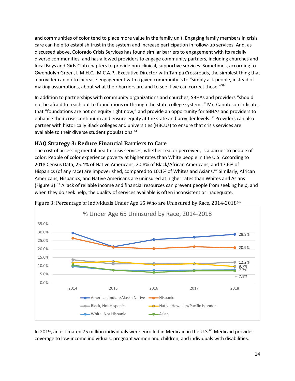and communities of color tend to place more value in the family unit. Engaging family members in crisis care can help to establish trust in the system and increase participation in follow-up services. And, as discussed above, Colorado Crisis Services has found similar barriers to engagement with its racially diverse communities, and has allowed providers to engage community partners, including churches and local Boys and Girls Club chapters to provide non-clinical, supportive services. Sometimes, according to Gwendolyn Green, L.M.H.C., M.C.A.P., Executive Director with Tampa Crossroads, the simplest thing that a provider can do to increase engagement with a given community is to "simply ask people, instead of making assumptions, about what their barriers are and to see if we can correct those."59

In addition to partnerships with community organizations and churches, SBHAs and providers "should not be afraid to reach out to foundations or through the state college systems." Mr. Canuteson indicates that "foundations are hot on equity right now," and provide an opportunity for SBHAs and providers to enhance their crisis continuum and ensure equity at the state and provider levels.<sup>60</sup> Providers can also partner with historically Black colleges and universities (HBCUs) to ensure that crisis services are available to their diverse student populations. 61

## **HAQ Strategy 3: Reduce Financial Barriers to Care**

The cost of accessing mental health crisis services, whether real or perceived, is a barrier to people of color. People of color experience poverty at higher rates than White people in the U.S. According to 2018 Census Data, 25.4% of Native Americans, 20.8% of Black/African Americans, and 17.6% of Hispanics (of any race) are impoverished, compared to 10.1% of Whites and Asians.<sup>62</sup> Similarly, African Americans, Hispanics, and Native Americans are uninsured at higher rates than Whites and Asians (Figure 3).<sup>63</sup> A lack of reliable income and financial resources can prevent people from seeking help, and when they do seek help, the quality of services available is often inconsistent or inadequate.



Figure 3: Percentage of Individuals Under Age 65 Who are Uninsured by Race, 2014-201864

In 2019, an estimated 75 million individuals were enrolled in Medicaid in the U.S.<sup>65</sup> Medicaid provides coverage to low-income individuals, pregnant women and children, and individuals with disabilities.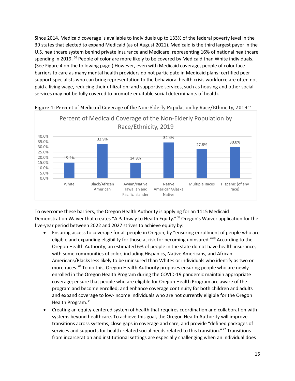Since 2014, Medicaid coverage is available to individuals up to 133% of the federal poverty level in the 39 states that elected to expand Medicaid (as of August 2021). Medicaid is the third largest payer in the U.S. healthcare system behind private insurance and Medicare, representing 16% of national healthcare spending in 2019. <sup>66</sup> People of color are more likely to be covered by Medicaid than White individuals. (See Figure 4 on the following page.) However, even with Medicaid coverage, people of color face barriers to care as many mental health providers do not participate in Medicaid plans; certified peer support specialists who can bring representation to the behavioral health crisis workforce are often not paid a living wage, reducing their utilization; and supportive services, such as housing and other social services may not be fully covered to promote equitable social determinants of health.



Figure 4: Percent of Medicaid Coverage of the Non-Elderly Population by Race/Ethnicity, 201967

To overcome these barriers, the Oregon Health Authority is applying for an 1115 Medicaid Demonstration Waiver that creates "A Pathway to Health Equity."68 Oregon's Waiver application for the five-year period between 2022 and 2027 strives to achieve equity by:

- Ensuring access to coverage for all people in Oregon, by "ensuring enrollment of people who are eligible and expanding eligibility for those at risk for becoming uninsured."69 According to the Oregon Health Authority, an estimated 6% of people in the state do not have health insurance, with some communities of color, including Hispanics, Native Americans, and African Americans/Blacks less likely to be uninsured than Whites or individuals who identify as two or more races.<sup>70</sup> To do this, Oregon Health Authority proposes ensuring people who are newly enrolled in the Oregon Health Program during the COVID-19 pandemic maintain appropriate coverage; ensure that people who are eligible for Oregon Health Program are aware of the program and become enrolled; and enhance coverage continuity for both children and adults and expand coverage to low-income individuals who are not currently eligible for the Oregon Health Program.<sup>71</sup>
- Creating an equity-centered system of health that requires coordination and collaboration with systems beyond healthcare. To achieve this goal, the Oregon Health Authority will improve transitions across systems, close gaps in coverage and care, and provide "defined packages of services and supports for health-related social needs related to this transition."<sup>72</sup> Transitions from incarceration and institutional settings are especially challenging when an individual does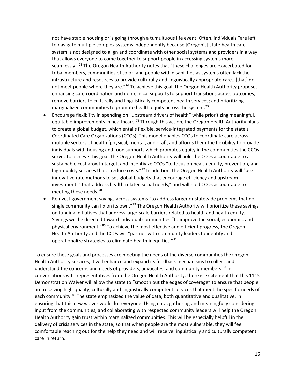not have stable housing or is going through a tumultuous life event. Often, individuals "are left to navigate multiple complex systems independently because [Oregon's] state health care system is not designed to align and coordinate with other social systems and providers in a way that allows everyone to come together to support people in accessing systems more seamlessly."<sup>73</sup> The Oregon Health Authority notes that "these challenges are exacerbated for tribal members, communities of color, and people with disabilities as systems often lack the infrastructure and resources to provide culturally and linguistically appropriate care…[that] do not meet people where they are."<sup>74</sup> To achieve this goal, the Oregon Health Authority proposes enhancing care coordination and non-clinical supports to support transitions across outcomes; remove barriers to culturally and linguistically competent health services; and prioritizing marginalized communities to promote health equity across the system.<sup>75</sup>

- Encourage flexibility in spending on "upstream drivers of health" while prioritizing meaningful, equitable improvements in healthcare.<sup>76</sup> Through this action, the Oregon Health Authority plans to create a global budget, which entails flexible, service-integrated payments for the state's Coordinated Care Organizations (CCOs). This model enables CCOs to coordinate care across multiple sectors of health (physical, mental, and oral), and affords them the flexibility to provide individuals with housing and food supports which promotes equity in the communities the CCOs serve. To achieve this goal, the Oregon Health Authority will hold the CCOs accountable to a sustainable cost growth target, and incentivize CCOs "to focus on health equity, prevention, and high-quality services that... reduce costs."77 In addition, the Oregon Health Authority will "use innovative rate methods to set global budgets that encourage efficiency and upstream investments" that address health-related social needs," and will hold CCOs accountable to meeting these needs.78
- Reinvest government savings across systems "to address larger or statewide problems that no single community can fix on its own."<sup>79</sup> The Oregon Health Authority will prioritize these savings on funding initiatives that address large-scale barriers related to health and health equity. Savings will be directed toward individual communities "to improve the social, economic, and physical environment."<sup>80</sup> To achieve the most effective and efficient progress, the Oregon Health Authority and the CCOs will "partner with community leaders to identify and operationalize strategies to eliminate health inequities."<sup>81</sup>

To ensure these goals and processes are meeting the needs of the diverse communities the Oregon Health Authority services, it will enhance and expand its feedback mechanisms to collect and understand the concerns and needs of providers, advocates, and community members.<sup>82</sup> In conversations with representatives from the Oregon Health Authority, there is excitement that this 1115 Demonstration Waiver will allow the state to "smooth out the edges of coverage" to ensure that people are receiving high-quality, culturally and linguistically competent services that meet the specific needs of each community.<sup>83</sup> The state emphasized the value of data, both quantitative and qualitative, in ensuring that this new waiver works for everyone. Using data, gathering and meaningfully considering input from the communities, and collaborating with respected community leaders will help the Oregon Health Authority gain trust within marginalized communities. This will be especially helpful in the delivery of crisis services in the state, so that when people are the most vulnerable, they will feel comfortable reaching out for the help they need and will receive linguistically and culturally competent care in return.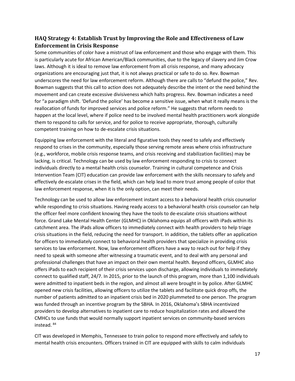## **HAQ Strategy 4: Establish Trust by Improving the Role and Effectiveness of Law Enforcement in Crisis Response**

Some communities of color have a mistrust of law enforcement and those who engage with them. This is particularly acute for African American/Black communities, due to the legacy of slavery and Jim Crow laws. Although it is ideal to remove law enforcement from all crisis response, and many advocacy organizations are encouraging just that, it is not always practical or safe to do so. Rev. Bowman underscores the need for law enforcement reform. Although there are calls to "defund the police," Rev. Bowman suggests that this call to action does not adequately describe the intent or the need behind the movement and can create excessive divisiveness which halts progress. Rev. Bowman indicates a need for "a paradigm shift. 'Defund the police' has become a sensitive issue, when what it really means is the reallocation of funds for improved services and police reform." He suggests that reform needs to happen at the local level, where if police need to be involved mental health practitioners work alongside them to respond to calls for service, and for police to receive appropriate, thorough, culturally competent training on how to de-escalate crisis situations.

Equipping law enforcement with the literal and figurative tools they need to safely and effectively respond to crises in the community, especially those serving remote areas where crisis infrastructure (e.g., workforce, mobile crisis response teams, and crisis receiving and stabilization facilities) may be lacking, is critical. Technology can be used by law enforcement responding to crisis to connect individuals directly to a mental health crisis counselor. Training in cultural competence and Crisis Intervention Team (CIT) education can provide law enforcement with the skills necessary to safely and effectively de-escalate crises in the field, which can help lead to more trust among people of color that law enforcement response, when it is the only option, can meet their needs.

Technology can be used to allow law enforcement instant access to a behavioral health crisis counselor while responding to crisis situations. Having ready access to a behavioral health crisis counselor can help the officer feel more confident knowing they have the tools to de-escalate crisis situations without force. Grand Lake Mental Health Center (GLMHC) in Oklahoma equips all officers with iPads within its catchment area. The iPads allow officers to immediately connect with health providers to help triage crisis situations in the field, reducing the need for transport. In addition, the tablets offer an application for officers to immediately connect to behavioral health providers that specialize in providing crisis services to law enforcement. Now, law enforcement officers have a way to reach out for help if they need to speak with someone after witnessing a traumatic event, and to deal with any personal and professional challenges that have an impact on their own mental health. Beyond officers, GLMHC also offers iPads to each recipient of their crisis services upon discharge, allowing individuals to immediately connect to qualified staff, 24/7. In 2015, prior to the launch of this program, more than 1,100 individuals were admitted to inpatient beds in the region, and almost all were brought in by police. After GLMHC opened new crisis facilities, allowing officers to utilize the tablets and facilitate quick drop offs, the number of patients admitted to an inpatient crisis bed in 2020 plummeted to one person. The program was funded through an incentive program by the SBHA. In 2016, Oklahoma's SBHA incentivized providers to develop alternatives to inpatient care to reduce hospitalization rates and allowed the CMHCs to use funds that would normally support inpatient services on community-based services instead. <sup>84</sup>

CIT was developed in Memphis, Tennessee to train police to respond more effectively and safely to mental health crisis encounters. Officers trained in CIT are equipped with skills to calm individuals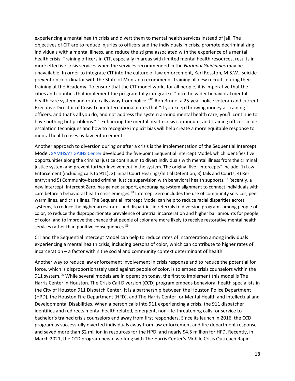experiencing a mental health crisis and divert them to mental health services instead of jail. The objectives of CIT are to reduce injuries to officers and the individuals in crisis, promote decriminalizing individuals with a mental illness, and reduce the stigma associated with the experience of a mental health crisis. Training officers in CIT, especially in areas with limited mental health resources, results in more effective crisis services when the services recommended in the *National Guidelines* may be unavailable. In order to integrate CIT into the culture of law enforcement, Karl Rosston, M.S.W., suicide prevention coordinator with the State of Montana recommends training all new recruits during their training at the Academy. To ensure that the CIT model works for all people, it is imperative that the cities and counties that implement the program fully integrate it "into the wider behavioral mental health care system and route calls away from police."<sup>85</sup> Ron Bruno, a 25-year police veteran and current Executive Director of Crisis Team International notes that "if you keep throwing money at training officers, and that's all you do, and not address the system around mental health care, you'll continue to have nothing but problems."<sup>86</sup> Enhancing the mental health crisis continuum, and training officers in deescalation techniques and how to recognize implicit bias will help create a more equitable response to mental health crises by law enforcement.

Another approach to diversion during or after a crisis is the implementation of the Sequential Intercept Model. [SAMHSA's GAINS Center](https://www.samhsa.gov/gains-center) developed the five-point Sequential Intercept Model, which identifies five opportunities along the criminal justice continuum to divert individuals with mental illness from the criminal justice system and prevent further involvement in the system. The original five "intercepts" include: 1) Law Enforcement (including calls to 911); 2) Initial Court Hearings/Initial Detention; 3) Jails and Courts; 4) Reentry; and 5) Community-based criminal justice supervision with behavioral health supports.<sup>87</sup> Recently, a new intercept, Intercept Zero, has gained support, encouraging system alignment to connect individuals with care before a behavioral health crisis emerges.<sup>88</sup> Intercept Zero includes the use of community services, peer warm lines, and crisis lines. The Sequential Intercept Model can help to reduce racial disparities across systems, to reduce the higher arrest rates and disparities in referrals to diversion programs among people of color, to reduce the disproportionate prevalence of pretrial incarceration and higher bail amounts for people of color, and to improve the chance that people of color are more likely to receive restorative mental health services rather than punitive consequences. 89

CIT and the Sequential Intercept Model can help to reduce rates of incarceration among individuals experiencing a mental health crisis, including persons of color, which can contribute to higher rates of incarceration – a factor within the social and community context determinant of health.

Another way to reduce law enforcement involvement in crisis response and to reduce the potential for force, which is disproportionately used against people of color, is to embed crisis counselors within the 911 system.<sup>90</sup> While several models are in operation today, the first to implement this model is The Harris Center in Houston. The Crisis Call Diversion (CCD) program embeds behavioral health specialists in the City of Houston 911 Dispatch Center. It is a partnership between the Houston Police Department (HPD), the Houston Fire Department (HFD), and The Harris Center for Mental Health and Intellectual and Developmental Disabilities. When a person calls into 911 experiencing a crisis, the 911 dispatcher identifies and redirects mental health related, emergent, non-life-threatening calls for service to bachelor's trained crisis counselors and away from first responders. Since its launch in 2016, the CCD program as successfully diverted individuals away from law enforcement and fire department response and saved more than \$2 million in resources for the HPD, and nearly \$4.5 million for HFD. Recently, in March 2021, the CCD program began working with The Harris Center's Mobile Crisis Outreach Rapid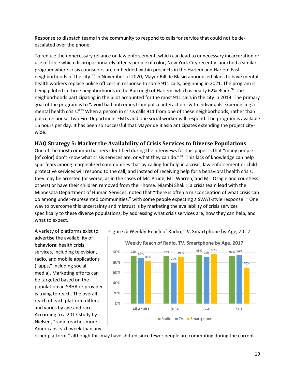Response to dispatch teams in the community to respond to calls for service that could not be deescalated over the phone.

To reduce the unnecessary reliance on law enforcement, which can lead to unnecessary incarceration or use of force which disproportionately affects people of color, New York City recently launched a similar program where crisis counselors are embedded within precincts in the Harlem and Harlem East neighborhoods of the city.<sup>91</sup> In November of 2020, Mayor Bill de Blasio announced plans to have mental health workers replace police officers in response to some 911 calls, beginning in 2021. The program is being piloted in three neighborhoods in the Burrough of Harlem, which is nearly 62% Black.<sup>92</sup> The neighborhoods participating in the pilot accounted for the most 911 calls in the city in 2019. The primary goal of the program is to "avoid bad outcomes from police interactions with individuals experiencing a mental health crisis."93 When a person in crisis calls 911 from one of these neighborhoods, rather than police response, two Fire Department EMTs and one social worker will respond. The program is available 16 hours per day. It has been so successful that Mayor de Blasio anticipates extending the project citywide.

#### **HAQ Strategy 5: Market the Availability of Crisis Services to Diverse Populations**

One of the most common barriers identified during the interviews for this paper is that "many people [of color] don't know what crisis services are, or what they can do."<sup>94</sup> This lack of knowledge can help spur fears among marginalized communities that by calling for help in a crisis, law enforcement or child protective services will respond to the call, and instead of receiving help for a behavioral health crisis, they may be arrested (or worse, as in the cases of Mr. Prude, Mr. Warren, and Mr. Osagie and countless others) or have their children removed from their home. Niambi Shakir, a crisis team lead with the Minnesota Department of Human Services, noted that "there is often a misconception of what crisis can do among under-represented communities," with some people expecting a SWAT-style response.<sup>95</sup> One way to overcome this uncertainty and mistrust is by marketing the availability of crisis services specifically to these diverse populations, by addressing what crisis services are, how they can help, and what to expect.

A variety of platforms exist to advertise the availability of behavioral health crisis services, including television, radio, and mobile applications ("apps," including social media). Marketing efforts can be targeted based on the population an SBHA or provider is trying to reach. The overall reach of each platform differs and varies by age and race. According to a 2017 study by Nielsen, "radio reaches more Americans each week than any





other platform," although this may have shifted since fewer people are commuting during the current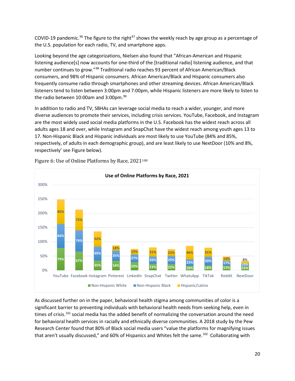COVID-19 pandemic.<sup>96</sup> The figure to the right<sup>97</sup> shows the weekly reach by age group as a percentage of the U.S. population for each radio, TV, and smartphone apps.

Looking beyond the age categorizations, Nielsen also found that "African-American and Hispanic listening audience[s] now accounts for one-third of the [traditional radio] listening audience, and that number continues to grow."98 Traditional radio reaches 93 percent of African American/Black consumers, and 98% of Hispanic consumers. African American/Black and Hispanic consumers also frequently consume radio through smartphones and other streaming devices. African American/Black listeners tend to listen between 3:00pm and 7:00pm, while Hispanic listeners are more likely to listen to the radio between 10:00am and 3:00pm.<sup>99</sup>

In addition to radio and TV, SBHAs can leverage social media to reach a wider, younger, and more diverse audiences to promote their services, including crisis services. YouTube, Facebook, and Instagram are the most widely used social media platforms in the U.S. Facebook has the widest reach across all adults ages 18 and over, while Instagram and SnapChat have the widest reach among youth ages 13 to 17. Non-Hispanic Black and Hispanic individuals are most likely to use YouTube (84% and 85%, respectively, of adults in each demographic group), and are least likely to use NextDoor (10% and 8%, respectively' see Figure below).



Figure 6: Use of Online Platforms by Race, 2021<sup>100</sup>

As discussed further on in the paper, behavioral health stigma among communities of color is a significant barrier to preventing individuals with behavioral health needs from seeking help, even in times of crisis.<sup>101</sup> social media has the added benefit of normalizing the conversation around the need for behavioral health services in racially and ethnically diverse communities. A 2018 study by the Pew Research Center found that 80% of Black social media users "value the platforms for magnifying issues that aren't usually discussed," and 60% of Hispanics and Whites felt the same.<sup>102</sup> Collaborating with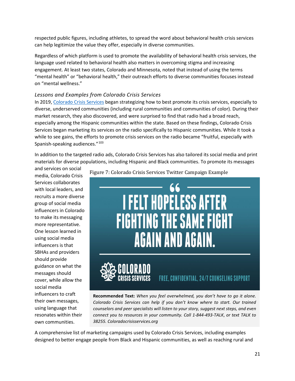respected public figures, including athletes, to spread the word about behavioral health crisis services can help legitimize the value they offer, especially in diverse communities.

Regardless of which platform is used to promote the availability of behavioral health crisis services, the language used related to behavioral health also matters in overcoming stigma and increasing engagement. At least two states, Colorado and Minnesota, noted that instead of using the terms "mental health" or "behavioral health," their outreach efforts to diverse communities focuses instead on "mental wellness."

#### *Lessons and Examples from Colorado Crisis Services*

In 2019[, Colorado Crisis Services](https://coloradocrisisservices.org/) began strategizing how to best promote its crisis services, especially to diverse, underserved communities (including rural communities and communities of color). During their market research, they also discovered, and were surprised to find that radio had a broad reach, especially among the Hispanic communities within the state. Based on these findings, Colorado Crisis Services began marketing its services on the radio specifically to Hispanic communities. While it took a while to see gains, the efforts to promote crisis services on the radio became "fruitful, especially with Spanish-speaking audiences."<sup>103</sup>

In addition to the targeted radio ads, Colorado Crisis Services has also tailored its social media and print materials for diverse populations, including Hispanic and Black communities. To promote its messages

and services on social media, Colorado Crisis Services collaborates with local leaders, and recruits a more diverse group of social media influencers in Colorado to make its messaging more representative. One lesson learned in using social media influencers is that SBHAs and providers should provide guidance on what the messages should cover, while allow the social media influencers to craft their own messages, using language that resonates within their own communities.

Figure 7: Colorado Crisis Services Twitter Campaign Example



**Recommended Text:** *When you feel overwhelmed, you don't have to go it alone. Colorado Crisis Services can help if you don't know where to start. Our trained counselors and peer specialists will listen to your story, suggest next steps, and even connect you to resources in your community. Call 1-844-493-TALK*, *or text TALK to 38255. Coloradocrisisservices.org*

A comprehensive list of marketing campaigns used by Colorado Crisis Services, including examples designed to better engage people from Black and Hispanic communities, as well as reaching rural and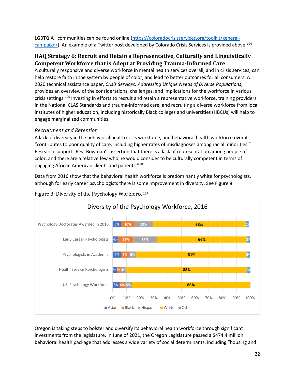LGBTQIA+ communities can be found online [\(https://coloradocrisisservices.org/toolkit/general](https://coloradocrisisservices.org/toolkit/general-campaign/)[campaign/\)](https://coloradocrisisservices.org/toolkit/general-campaign/). An example of a Twitter post developed by Colorado Crisis Services is provided above.<sup>104</sup>

## **HAQ Strategy 6: Recruit and Retain a Representative, Culturally and Linguistically Competent Workforce that is Adept at Providing Trauma-Informed Care**

A culturally responsive and diverse workforce in mental health services overall, and in crisis services, can help restore faith in the system by people of color, and lead to better outcomes for all consumers. A 2020 technical assistance paper, *Crisis Services: Addressing Unique Needs of Diverse Populations*, provides an overview of the considerations, challenges, and implications for the workforce in various crisis settings.<sup>105</sup> Investing in efforts to recruit and retain a representative workforce, training providers in the National CLAS Standards and trauma-informed care, and recruiting a diverse workforce from local institutes of higher education, including historically Black colleges and universities (HBCUs) will help to engage marginalized communities.

#### *Recruitment and Retention*

A lack of diversity in the behavioral health crisis workforce, and behavioral health workforce overall "contributes to poor quality of care, including higher rates of misdiagnoses among racial minorities." Research supports Rev. Bowman's assertion that there is a lack of representation among people of color, and there are a relative few who he would consider to be culturally competent in terms of engaging African American clients and patients."106

Data from 2016 show that the behavioral health workforce is predominantly white for psychologists, although for early career psychologists there is some improvement in diversity. See Figure 8.



Figure 8: Diversity of the Psychology Workforce<sup>107</sup>

Oregon is taking steps to bolster and diversify its behavioral health workforce through significant investments from the legislature. In June of 2021, the Oregon Legislature passed a \$474.4 million behavioral health package that addresses a wide variety of social determinants, including "housing and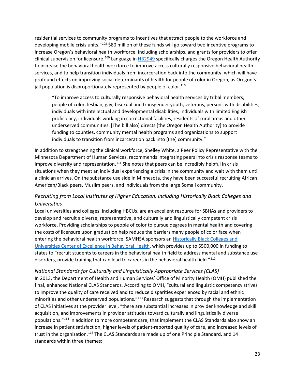residential services to community programs to incentives that attract people to the workforce and developing mobile crisis units."<sup>108</sup> \$80 million of these funds will go toward two incentive programs to increase Oregon's behavioral health workforce, including scholarships, and grants for providers to offer clinical supervision for licensure.109 Language in [HB2949](https://olis.oregonlegislature.gov/liz/2021R1/Measures/Overview/HB2949) specifically charges the Oregon Health Authority to increase the behavioral health workforce to improve access culturally responsive behavioral health services, and to help transition individuals from incarceration back into the community, which will have profound effects on improving social determinants of health for people of color in Oregon, as Oregon's jail population is disproportionately represented by people of color.<sup>110</sup>

"To improve access to culturally responsive behavioral health services by tribal members, people of color, lesbian, gay, bisexual and transgender youth, veterans, persons with disabilities, individuals with intellectual and developmental disabilities, individuals with limited English proficiency, individuals working in correctional facilities, residents of rural areas and other underserved communities. [The bill also] directs [the Oregon Health Authority] to provide funding to counties, community mental health programs and organizations to support individuals to transition from incarceration back into [the] community."

In addition to strengthening the clinical workforce, Shelley White, a Peer Policy Representative with the Minnesota Department of Human Services, recommends integrating peers into crisis response teams to improve diversity and representation.<sup>111</sup> She notes that peers can be incredibly helpful in crisis situations when they meet an individual experiencing a crisis in the community and wait with them until a clinician arrives. On the substance use side in Minnesota, they have been successful recruiting African American/Black peers, Muslim peers, and individuals from the large Somali community.

## *Recruiting from Local Institutes of Higher Education, Including Historically Black Colleges and Universities*

Local universities and colleges, including HBCUs, are an excellent resource for SBHAs and providers to develop and recruit a diverse, representative, and culturally and linguistically competent crisis workforce. Providing scholarships to people of color to pursue degrees in mental health and covering the costs of licensure upon graduation help reduce the barriers many people of color face when entering the behavioral health workforce. SAMHSA sponsors a[n Historically Black Colleges and](https://www.samhsa.gov/historically-black-colleges-universities-center-excellence-behavioral-health)  [Universities Center of Excellence in Behavioral Health,](https://www.samhsa.gov/historically-black-colleges-universities-center-excellence-behavioral-health) which provides up to \$500,000 in funding to states to "recruit students to careers in the behavioral health field to address mental and substance use disorders, provide training that can lead to careers in the behavioral health field."<sup>112</sup>

#### *National Standards for Culturally and Linguistically Appropriate Services (CLAS)*

In 2013, the Department of Health and Human Services' Office of Minority Health (OMH) published the final, enhanced National CLAS Standards*.* According to OMH, "cultural and linguistic competency strives to improve the quality of care received and to reduce disparities experienced by racial and ethnic minorities and other underserved populations."<sup>113</sup> Research suggests that through the implementation of CLAS initiatives at the provider level, "there are substantial increases in provider knowledge and skill acquisition, and improvements in provider attitudes toward culturally and linguistically diverse populations."<sup>114</sup> In addition to more competent care, that implement the CLAS Standards also show an increase in patient satisfaction, higher levels of patient-reported quality of care, and increased levels of trust in the organization.<sup>115</sup> The CLAS Standards are made up of one Principle Standard, and 14 standards within three themes: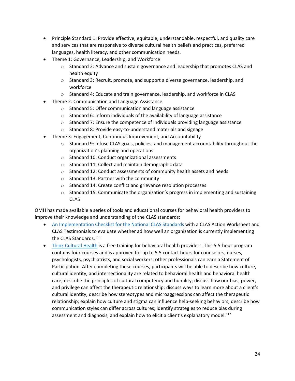- Principle Standard 1: Provide effective, equitable, understandable, respectful, and quality care and services that are responsive to diverse cultural health beliefs and practices, preferred languages, health literacy, and other communication needs.
- Theme 1: Governance, Leadership, and Workforce
	- $\circ$  Standard 2: Advance and sustain governance and leadership that promotes CLAS and health equity
	- $\circ$  Standard 3: Recruit, promote, and support a diverse governance, leadership, and workforce
	- o Standard 4: Educate and train governance, leadership, and workforce in CLAS
- Theme 2: Communication and Language Assistance
	- o Standard 5: Offer communication and language assistance
	- o Standard 6: Inform individuals of the availability of language assistance
	- $\circ$  Standard 7: Ensure the competence of individuals providing language assistance
	- o Standard 8: Provide easy-to-understand materials and signage
- Theme 3: Engagement, Continuous Improvement, and Accountability
	- $\circ$  Standard 9: Infuse CLAS goals, policies, and management accountability throughout the organization's planning and operations
	- o Standard 10: Conduct organizational assessments
	- o Standard 11: Collect and maintain demographic data
	- o Standard 12: Conduct assessments of community health assets and needs
	- o Standard 13: Partner with the community
	- o Standard 14: Create conflict and grievance resolution processes
	- $\circ$  Standard 15: Communicate the organization's progress in implementing and sustaining CLAS

OMH has made available a series of tools and educational courses for behavioral health providers to improve their knowledge and understanding of the CLAS standards:

- [An Implementation Checklist for the National CLAS Standards](https://thinkculturalhealth.hhs.gov/assets/pdfs/AnImplementationChecklistfortheNationalCLASStandards.pdf) with a CLAS Action Worksheet and CLAS Testimonials to evaluate whether ad how well an organization is currently implementing the CLAS Standards.<sup>[116](#page-39-0)</sup>
- [Think Cultural Health](https://thinkculturalhealth.hhs.gov/education/behavioral-health) is a free training for behavioral health providers. This 5.5-hour program contains four courses and is approved for up to 5.5 contact hours for counselors, nurses, psychologists, psychiatrists, and social workers; other professionals can earn a Statement of Participation. After completing these courses, participants will be able to describe how culture, cultural identity, and intersectionality are related to behavioral health and behavioral health care; describe the principles of cultural competency and humility; discuss how our bias, power, and privilege can affect the therapeutic relationship; discuss ways to learn more about a client's cultural identity; describe how stereotypes and microaggressions can affect the therapeutic relationship; explain how culture and stigma can influence help-seeking behaviors; describe how communication styles can differ across cultures; identify strategies to reduce bias during assessment and diagnosis; and explain how to elicit a client's explanatory model. $117$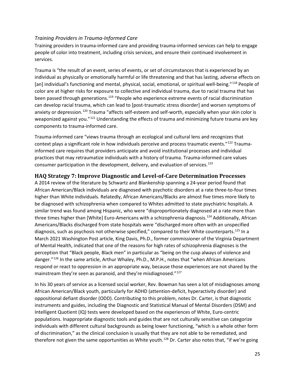#### *Training Providers in Trauma-Informed Care*

Training providers in trauma-informed care and providing trauma-informed services can help to engage people of color into treatment, including crisis services, and ensure their continued involvement in services.

Trauma is "the result of an event, series of events, or set of circumstances that is experienced by an individual as physically or emotionally harmful or life threatening and that has lasting, adverse effects on [an] individual's functioning and mental, physical, social, emotional, or spiritual well-being."<sup>[118](#page-39-2)</sup> People of color are at higher risks for exposure to collective and individual trauma, due to racial trauma that has been passed through generations.<sup>[119](#page-39-3)</sup> "People who experience extreme events of racial discrimination can develop racial trauma, which can lead to [post-traumatic stress disorder] and worsen symptoms of anxiety or depression.<sup>120</sup> Trauma "affects self-esteem and self-worth, especially when your skin color is weaponized against you."<sup>[121](#page-39-5)</sup> Understanding the effects of trauma and minimizing future trauma are key components to trauma-informed care.

Trauma-informed care "views trauma through an ecological and cultural lens and recognizes that context plays a significant role in how individuals perceive and process traumatic events."<sup>[122](#page-39-6)</sup> Traumainformed care requires that providers anticipate and avoid institutional processes and individual practices that may retraumatize individuals with a history of trauma. Trauma-informed care values consumer participation in the development, delivery, and evaluation of services.<sup>[123](#page-39-7)</sup>

#### **HAQ Strategy 7: Improve Diagnostic and Level-of-Care Determination Processes**

A 2014 review of the literature by Schwartz and Blankenship spanning a 24-year period found that African American/Black individuals are diagnosed with psychotic disorders at a rate three-to-four times higher than White individuals. Relatedly, African Americans/Blacks are almost five times more likely to be diagnosed with schizophrenia when compared to Whites admitted to state psychiatric hospitals. A similar trend was found among Hispanic, who were "disproportionately diagnosed at a rate more than three times higher than [White] Euro-Americans with a schizophrenia diagnosis.<sup>[124](#page-39-8)</sup> Additionally, African Americans/Blacks discharged from state hospitals were "discharged more often with an unspecified diagnosis, such as psychosis not otherwise specified," compared to their White counterparts.<sup>[125](#page-39-9)</sup> In a March 2021 Washington Post article, King Davis, Ph.D., former commissioner of the Virginia Department of Mental Health, indicated that one of the reasons for high rates of schizophrenia diagnoses is the perception that "Black people, Black men" in particular as "being on the cusp always of violence and danger."[126](#page-39-10) In the same article, Arthur Whaley, Ph.D., M.P.H., notes that "when African Americans respond or react to oppression in an appropriate way, because those experiences are not shared by the mainstream they're seen as paranoid, and they're misdiagnosed."<sup>[127](#page-39-11)</sup>

In his 30 years of service as a licensed social worker, Rev. Bowman has seen a lot of misdiagnoses among African American/Black youth, particularly for ADHD (attention-deficit, hyperactivity disorder) and oppositional defiant disorder (ODD). Contributing to this problem, notes Dr. Carter, is that diagnostic instruments and guides, including the Diagnostic and Statistical Manual of Mental Disorders (DSM) and Intelligent Quotient (IQ) tests were developed based on the experiences of White, Euro-centric populations. Inappropriate diagnostic tools and guides that are not culturally sensitive can categorize individuals with different cultural backgrounds as being lower functioning, "which is a whole other form of discrimination," as the clinical conclusion is usually that they are not able to be remediated, and therefore not given the same opportunities as White youth.<sup>128</sup> Dr. Carter also notes that, "if we're going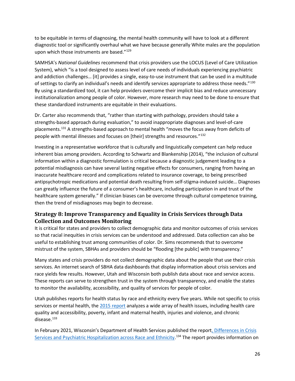to be equitable in terms of diagnosing, the mental health community will have to look at a different diagnostic tool or significantly overhaul what we have because generally White males are the population upon which those instruments are based."<sup>129</sup>

SAMHSA's *National Guidelines* recommend that crisis providers use the LOCUS (Level of Care Utilization System), which "is a tool designed to assess level of care needs of individuals experiencing psychiatric and addiction challenges… [it] provides a single, easy-to-use instrument that can be used in a multitude of settings to clarify an individual's needs and identify services appropriate to address those needs."<sup>[130](#page-40-0)</sup> By using a standardized tool, it can help providers overcome their implicit bias and reduce unnecessary institutionalization among people of color. However, more research may need to be done to ensure that these standardized instruments are equitable in their evaluations.

Dr. Carter also recommends that, "rather than starting with pathology, providers should take a strengths-based approach during evaluation," to avoid inappropriate diagnoses and level-of-care placements.[131](#page-40-1) A strengths-based approach to mental health "moves the focus away from deficits of people with mental illnesses and focuses on [their] strengths and resources."[132](#page-40-2) 

Investing in a representative workforce that is culturally and linguistically competent can help reduce inherent bias among providers. According to Schwartz and Blankenship (2014), "the inclusion of cultural information within a diagnostic formulation is critical because a diagnostic judgement leading to a potential misdiagnosis can have several lasting negative effects for consumers, ranging from having an inaccurate healthcare record and complications related to insurance coverage, to being prescribed antipsychotropic medications and potential death resulting from self-stigma-induced suicide… Diagnoses can greatly influence the future of a consumer's healthcare, including participation in and trust of the healthcare system generally." If clinician biases can be overcome through cultural competence training, then the trend of misdiagnoses may begin to decrease.

## **Strategy 8: Improve Transparency and Equality in Crisis Services through Data Collection and Outcomes Monitoring**

It is critical for states and providers to collect demographic data and monitor outcomes of crisis services so that racial inequities in crisis services can be understood and addressed. Data collection can also be useful to establishing trust among communities of color. Dr. Sims recommends that to overcome mistrust of the system, SBHAs and providers should be "flooding [the public] with transparency."

Many states and crisis providers do not collect demographic data about the people that use their crisis services. An internet search of SBHA data dashboards that display information about crisis services and race yields few results. However, Utah and Wisconsin both publish data about race and service access. These reports can serve to strengthen trust in the system through transparency, and enable the states to monitor the availability, accessibility, and quality of services for people of color.

Utah publishes reports for health status by race and ethnicity every five years. While not specific to crisis services or mental health, the [2015 report](https://health.utah.gov/disparities/data/race-ethnicity-report/2015HealthStatusbyRace&Ethnicity.pdf) analyzes a wide array of health issues, including health care quality and accessibility, poverty, infant and maternal health, injuries and violence, and chronic disease.<sup>133</sup>

In February 2021, Wisconsin's Department of Health Services published the report, Differences in Crisis [Services and Psychiatric Hospitalization across Race and Ethnicity.](https://www.dhs.wisconsin.gov/publications/p02904.pdf)<sup>[134](#page-40-4)</sup> The report provides information on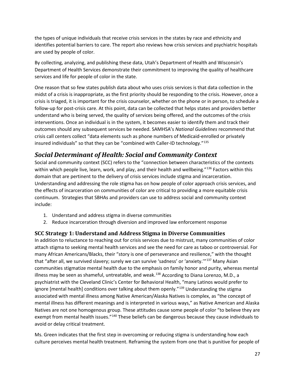the types of unique individuals that receive crisis services in the states by race and ethnicity and identifies potential barriers to care. The report also reviews how crisis services and psychiatric hospitals are used by people of color.

By collecting, analyzing, and publishing these data, Utah's Department of Health and Wisconsin's Department of Health Services demonstrate their commitment to improving the quality of healthcare services and life for people of color in the state.

One reason that so few states publish data about who uses crisis services is that data collection in the midst of a crisis is inappropriate, as the first priority should be responding to the crisis. However, once a crisis is triaged, it is important for the crisis counselor, whether on the phone or in person, to schedule a follow-up for post-crisis care. At this point, data can be collected that helps states and providers better understand who is being served, the quality of services being offered, and the outcomes of the crisis interventions. Once an individual is in the system, it becomes easier to identify them and track their outcomes should any subsequent services be needed. SAMHSA's *National Guidelines* recommend that crisis call centers collect "data elements such as phone numbers of Medicaid-enrolled or privately insured individuals" so that they can be "combined with Caller-ID technology."[135](#page-40-5)

## *Social Determinant of Health: Social and Community Context*

Social and community context (SCC) refers to the "connection between characteristics of the contexts within which people live, learn, work, and play, and their health and wellbeing."<sup>[136](#page-40-6)</sup> Factors within this domain that are pertinent to the delivery of crisis services include stigma and incarceration. Understanding and addressing the role stigma has on how people of color approach crisis services, and the effects of incarceration on communities of color are critical to providing a more equitable crisis continuum. Strategies that SBHAs and providers can use to address social and community context include:

- 1. Understand and address stigma in diverse communities
- 2. Reduce incarceration through diversion and improved law enforcement response

## **SCC Strategy 1: Understand and Address Stigma in Diverse Communities**

In addition to reluctance to reaching out for crisis services due to mistrust, many communities of color attach stigma to seeking mental health services and see the need for care as taboo or controversial. For many African Americans/Blacks, their "story is one of perseverance and resilience," with the thought that "after all, we survived slavery; surely we can survive 'sadness' or 'anxiety.'"[137](#page-40-7) Many Asian communities stigmatize mental health due to the emphasis on family honor and purity, whereas mental illness may be seen as shameful, untreatable, and weak.<sup>[138](#page-40-8)</sup> According to Diana Lorenzo, M.D., a psychiatrist with the Cleveland Clinic's Center for Behavioral Health, "many Latinos would prefer to ignore [mental health] conditions over talking about them openly."<sup>[139](#page-40-9)</sup> Understanding the stigma associated with mental illness among Native American/Alaska Natives is complex, as "the concept of mental illness has different meanings and is interpreted in various ways," as Native American and Alaska Natives are not one homogenous group. These attitudes cause some people of color "to believe they are exempt from mental health issues."<sup>[140](#page-40-10)</sup> These beliefs can be dangerous because they cause individuals to avoid or delay critical treatment.

Ms. Green indicates that the first step in overcoming or reducing stigma is understanding how each culture perceives mental health treatment. Reframing the system from one that is punitive for people of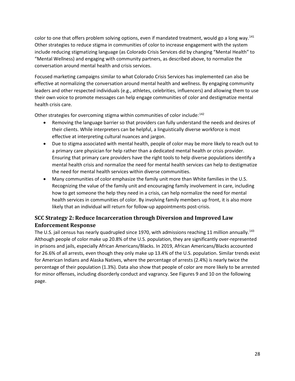color to one that offers problem solving options, even if mandated treatment, would go a long way.<sup>[141](#page-40-11)</sup> Other strategies to reduce stigma in communities of color to increase engagement with the system include reducing stigmatizing language (as Colorado Crisis Services did by changing "Mental Health" to "Mental Wellness) and engaging with community partners, as described above, to normalize the conversation around mental health and crisis services.

Focused marketing campaigns similar to what Colorado Crisis Services has implemented can also be effective at normalizing the conversation around mental health and wellness. By engaging community leaders and other respected individuals (e.g., athletes, celebrities, influencers) and allowing them to use their own voice to promote messages can help engage communities of color and destigmatize mental health crisis care.

Other strategies for overcoming stigma within communities of color include:<sup>[142](#page-40-12)</sup>

- Removing the language barrier so that providers can fully understand the needs and desires of their clients. While interpreters can be helpful, a linguistically diverse workforce is most effective at interpreting cultural nuances and jargon.
- Due to stigma associated with mental health, people of color may be more likely to reach out to a primary care physician for help rather than a dedicated mental health or crisis provider. Ensuring that primary care providers have the right tools to help diverse populations identify a mental health crisis and normalize the need for mental health services can help to destigmatize the need for mental health services within diverse communities.
- Many communities of color emphasize the family unit more than White families in the U.S. Recognizing the value of the family unit and encouraging family involvement in care, including how to get someone the help they need in a crisis, can help normalize the need for mental health services in communities of color. By involving family members up front, it is also more likely that an individual will return for follow-up appointments post-crisis.

## **SCC Strategy 2: Reduce Incarceration through Diversion and Improved Law Enforcement Response**

The U.S. jail census has nearly quadrupled since 1970, with admissions reaching 11 million annually.<sup>[143](#page-40-13)</sup> Although people of color make up 20.8% of the U.S. population, they are significantly over-represented in prisons and jails, especially African Americans/Blacks. In 2019, African Americans/Blacks accounted for 26.6% of all arrests, even though they only make up 13.4% of the U.S. population. Similar trends exist for American Indians and Alaska Natives, where the percentage of arrests (2.4%) is nearly twice the percentage of their population (1.3%). Data also show that people of color are more likely to be arrested for minor offenses, including disorderly conduct and vagrancy. See Figures 9 and 10 on the following page.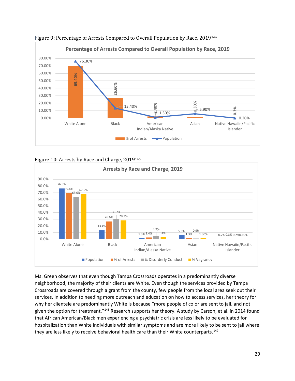

Figure 9: Percentage of Arrests Compared to Overall Population by Race, 2019[144](#page-40-14)





Ms. Green observes that even though Tampa Crossroads operates in a predominantly diverse neighborhood, the majority of their clients are White. Even though the services provided by Tampa Crossroads are covered through a grant from the county, few people from the local area seek out their services. In addition to needing more outreach and education on how to access services, her theory for why her clientele are predominantly White is because "more people of color are sent to jail, and not given the option for treatment."[146](#page-40-16) Research supports her theory. A study by Carson, et al. in 2014 found that African American/Black men experiencing a psychiatric crisis are less likely to be evaluated for hospitalization than White individuals with similar symptoms and are more likely to be sent to jail where they are less likely to receive behavioral health care than their White counterparts.<sup>[147](#page-40-17)</sup>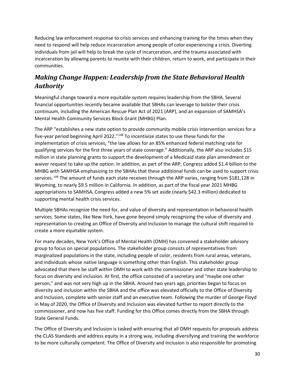Reducing law enforcement response to crisis services and enhancing training for the times when they need to respond will help reduce incarceration among people of color experiencing a crisis. Diverting individuals from jail will help to break the cycle of incarceration, and the trauma associated with incarceration by allowing parents to reunite with their children, return to work, and participate in their communities.

# *Making Change Happen: Leadership from the State Behavioral Health Authority*

Meaningful change toward a more equitable system requires leadership from the SBHA. Several financial opportunities recently became available that SBHAs can leverage to bolster their crisis continuum, including the American Rescue Plan Act of 2021 (ARP), and an expansion of SAMHSA's Mental Health Community Services Block Grant (MHBG) Plan.

The ARP "establishes a new state option to provide community mobile crisis intervention services for a five-year period beginning April 2022."<sup>[148](#page-40-18)</sup> To incentivize states to use these funds for the implementation of crisis services, "the law allows for an 85% enhanced federal matching rate for qualifying services for the first three years of state coverage." Additionally, the ARP also includes \$15 million in state planning grants to support the development of a Medicaid state plan amendment or waiver request to take up the option. In addition, as part of the ARP, Congress added \$1.4 billion to the MHBG with SAMHSA emphasizing to the SBHAs that these additional funds can be used to support crisis services.<sup>[149](#page-40-19)</sup> The amount of funds each state receives through the ARP varies, ranging from \$181,128 in Wyoming, to nearly \$9.5 million in California. In addition, as part of the fiscal year 2021 MHBG appropriations to SAMHSA, Congress added a new 5% set aside (nearly \$42.3 million) dedicated to supporting mental health crisis services.

Multiple SBHAs recognize the need for, and value of diversity and representation in behavioral health services. Some states, like New York, have gone beyond simply recognizing the value of diversity and representation to creating an Office of Diversity and Inclusion to manage the cultural shift required to create a more equitable system.

For many decades, New York's Office of Mental Health (OMH) has convened a stakeholder advisory group to focus on special populations. The stakeholder group consists of representatives from marginalized populations in the state, including people of color, residents from rural areas, veterans, and individuals whose native language is something other than English. This stakeholder group advocated that there be staff within OMH to work with the commissioner and other state leadership to focus on diversity and inclusion. At first, the office consisted of a secretary and "maybe one other person," and was not very high up in the SBHA. Around two years ago, priorities began to focus on diversity and inclusion within the SBHA and the office was elevated officially to the Office of Diversity and Inclusion, complete with senior staff and an executive team. Following the murder of George Floyd in May of 2020, the Office of Diversity and Inclusion was elevated further to report directly to the commissioner, and now has five staff. Funding for this Office comes directly from the SBHA through State General Funds.

The Office of Diversity and Inclusion is tasked with ensuring that all OMH requests for proposals address the CLAS Standards and address equity in a strong way, including diversifying and training the workforce to be more culturally competent. The Office of Diversity and Inclusion is also responsible for promoting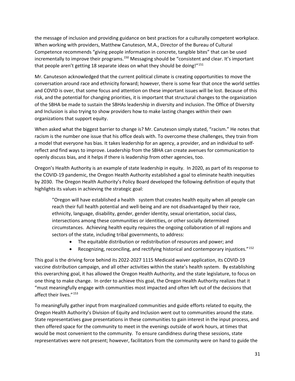the message of inclusion and providing guidance on best practices for a culturally competent workplace. When working with providers, Matthew Canuteson, M.A., Director of the Bureau of Cultural Competence recommends "giving people information in concrete, tangible bites" that can be used incrementally to improve their programs.<sup>[150](#page-40-20)</sup> Messaging should be "consistent and clear. It's important that people aren't getting 18 separate ideas on what they should be doing!"<sup>[151](#page-40-21)</sup>

Mr. Canuteson acknowledged that the current political climate is creating opportunities to move the conversation around race and ethnicity forward; however, there is some fear that once the world settles and COVID is over, that some focus and attention on these important issues will be lost. Because of this risk, and the potential for changing priorities, it is important that structural changes to the organization of the SBHA be made to sustain the SBHAs leadership in diversity and inclusion. The Office of Diversity and Inclusion is also trying to show providers how to make lasting changes within their own organizations that support equity.

When asked what the biggest barrier to change is? Mr. Canuteson simply stated, "racism." He notes that racism is the number one issue that his office deals with. To overcome these challenges, they train from a model that everyone has bias. It takes leadership for an agency, a provider, and an individual to selfreflect and find ways to improve. Leadership from the SBHA can create avenues for communication to openly discuss bias, and it helps if there is leadership from other agencies, too.

Oregon's Health Authority is an example of state leadership in equity. In 2020, as part of its response to the COVID-19 pandemic, the Oregon Health Authority established a goal to eliminate health inequities by 2030. The Oregon Health Authority's Policy Board developed the following definition of equity that highlights its values in achieving the strategic goal:

"Oregon will have established a health system that creates health equity when all people can reach their full health potential and well-being and are not disadvantaged by their race, ethnicity, language, disability, gender, gender identity, sexual orientation, social class, intersections among these communities or identities, or other socially determined circumstances. Achieving health equity requires the ongoing collaboration of all regions and sectors of the state, including tribal governments, to address:

- The equitable distribution or redistribution of resources and power; and
- Recognizing, reconciling, and rectifying historical and contemporary injustices."<sup>[152](#page-40-22)</sup>

This goal is the driving force behind its 2022-2027 1115 Medicaid waiver application, its COVID-19 vaccine distribution campaign, and all other activities within the state's health system. By establishing this overarching goal, it has allowed the Oregon Health Authority, and the state legislature, to focus on one thing to make change. In order to achieve this goal, the Oregon Health Authority realizes that it "must meaningfully engage with communities most impacted and often left out of the decisions that affect their lives."[153](#page-40-23)

To meaningfully gather input from marginalized communities and guide efforts related to equity, the Oregon Health Authority's Division of Equity and Inclusion went out to communities around the state. State representatives gave presentations in these communities to gain interest in the input process, and then offered space for the community to meet in the evenings outside of work hours, at times that would be most convenient to the community. To ensure candidness during these sessions, state representatives were not present; however, facilitators from the community were on hand to guide the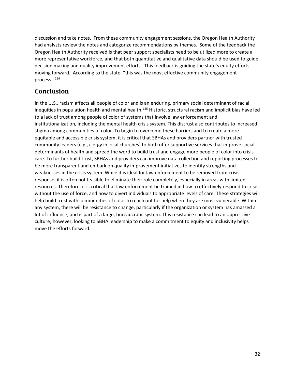discussion and take notes. From these community engagement sessions, the Oregon Health Authority had analysts review the notes and categorize recommendations by themes. Some of the feedback the Oregon Health Authority received is that peer support specialists need to be utilized more to create a more representative workforce, and that both quantitative and qualitative data should be used to guide decision making and quality improvement efforts. This feedback is guiding the state's equity efforts moving forward. According to the state, "this was the most effective community engagement process."[154](#page-40-2)

# **Conclusion**

In the U.S., racism affects all people of color and is an enduring, primary social determinant of racial inequities in population health and mental health.<sup>[155](#page-40-24)</sup> Historic, structural racism and implicit bias have led to a lack of trust among people of color of systems that involve law enforcement and institutionalization, including the mental health crisis system. This distrust also contributes to increased stigma among communities of color. To begin to overcome these barriers and to create a more equitable and accessible crisis system, it is critical that SBHAs and providers partner with trusted community leaders (e.g., clergy in local churches) to both offer supportive services that improve social determinants of health and spread the word to build trust and engage more people of color into crisis care. To further build trust, SBHAs and providers can improve data collection and reporting processes to be more transparent and embark on quality improvement initiatives to identify strengths and weaknesses in the crisis system. While it is ideal for law enforcement to be removed from crisis response, it is often not feasible to eliminate their role completely, especially in areas with limited resources. Therefore, it is critical that law enforcement be trained in how to effectively respond to crises without the use of force, and how to divert individuals to appropriate levels of care. These strategies will help build trust with communities of color to reach out for help when they are most vulnerable. Within any system, there will be resistance to change, particularly if the organization or system has amassed a lot of influence, and is part of a large, bureaucratic system. This resistance can lead to an oppressive culture; however, looking to SBHA leadership to make a commitment to equity and inclusivity helps move the efforts forward.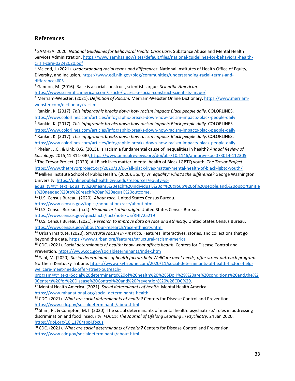#### **References**

<sup>1</sup> SAMHSA. 2020. National Guidelines for Behavioral Health Crisis Care. Substance Abuse and Mental Health Services Administration[. https://www.samhsa.gov/sites/default/files/national-guidelines-for-behavioral-health-](https://www.samhsa.gov/sites/default/files/national-guidelines-for-behavioral-health-crisis-care-02242020.pdf)

crisis-care-02242020.pdf<br><sup>2</sup> Mcleod, J. (2021). *Understanding racial terms and differences*. National Institutes of Health Office of Equity, Diversity, and Inclusion. [https://www.edi.nih.gov/blog/communities/understanding-racial-terms-and](https://www.edi.nih.gov/blog/communities/understanding-racial-terms-and-differences#05)[differences#05](https://www.edi.nih.gov/blog/communities/understanding-racial-terms-and-differences#05) 3 Gannon, M. (2016). Race is a social construct, scientists argue. *Scientific American.* 

<https://www.scientificamerican.com/article/race-is-a-social-construct-scientists-argue/>

<sup>4</sup> Merriam-Webster. (2021). *Definition of Racism.* Merriam-Webster Online Dictionary. [https://www.merriam-](https://www.merriam-webster.com/dictionary/racism)

webster.com/dictionary/racism<br><sup>5</sup> Rankin, K. (2017). *This infographic breaks down how racism impacts Black people daily.* COLORLINES.

<https://www.colorlines.com/articles/infographic-breaks-down-how-racism-impacts-black-people-daily>6 Rankin, K. (2017). *This infographic breaks down how racism impacts Black people daily.* COLORLINES.

<https://www.colorlines.com/articles/infographic-breaks-down-how-racism-impacts-black-people-daily>7 Rankin, K. (2017). *This infographic breaks down how racism impacts Black people daily.* COLORLINES.

<https://www.colorlines.com/articles/infographic-breaks-down-how-racism-impacts-black-people-daily>8 Phelan, J.C., & Link, B.G. (2015). Is racism a fundamental cause of inequalities in health? *Annual Review of Sociology.* 2015;41:311-330. https://www.annualreviews.org/doi/abs/10.1146/annurev-soc-073014-112305

<sup>9</sup> The Trevor Project. (2020). All Black lives matter: mental health of Black LGBTQ youth. *The Trevor Project.* 

[https://www.thetrevorproject.org/2020/10/06/all-black-lives-matter-mental-health-of-black-lgbtq-youth/.](https://www.thetrevorproject.org/2020/10/06/all-black-lives-matter-mental-health-of-black-lgbtq-youth/)<br><sup>10</sup> Milken Institute School of Public Health. (2020). *Equity vs. equality: what's the difference*? George Washington University. [https://onlinepublichealth.gwu.edu/resources/equity-vs-](https://onlinepublichealth.gwu.edu/resources/equity-vs-equality/#:%7E:text=Equality%20means%20each%20individual%20or%20group%20of%20people,and%20opportunities%20needed%20to%20reach%20an%20equal%20outcome)

[equality/#:~:text=Equality%20means%20each%20individual%20or%20group%20of%20people,and%20opportunitie](https://onlinepublichealth.gwu.edu/resources/equity-vs-equality/#:%7E:text=Equality%20means%20each%20individual%20or%20group%20of%20people,and%20opportunities%20needed%20to%20reach%20an%20equal%20outcome) [s%20needed%20to%20reach%20an%20equal%20outcome.](https://onlinepublichealth.gwu.edu/resources/equity-vs-equality/#:%7E:text=Equality%20means%20each%20individual%20or%20group%20of%20people,and%20opportunities%20needed%20to%20reach%20an%20equal%20outcome) 11 U.S. Census Bureau. (2020). *About race.* United States Census Bureau.

<https://www.census.gov/topics/population/race/about.html>12 U.S. Census Bureau. (n.d.). *Hispanic or Latino origin.* United States Census Bureau.

https://www.census.gov/quickfacts/fact/note/US/RHI725219<br><sup>13</sup> U.S. Census Bureau. (2021). *Research to improve data on race and ethnicity*. United States Census Bureau. <https://www.census.gov/about/our-research/race-ethnicity.html>14 Urban Institute. (2020). *Structural racism in America.* Features: interactives, stories, and collections that go

beyond the data. https://www.urban.org/features/structural-racism-america<br><sup>15</sup> CDC. (2021). *Social determinants of health: know what affects health.* Centers for Disease Control and

Prevention[. https://www.cdc.gov/socialdeterminants/index.htm](https://www.cdc.gov/socialdeterminants/index.htm)

<sup>16</sup> Yahl, M. (2020). *Social determinants of health factors help WellCare meet needs, offer street outreach program.*  Northern Kentucky Tribune[. https://www.nkytribune.com/2020/11/social-determinants-of-health-factors-help](https://www.nkytribune.com/2020/11/social-determinants-of-health-factors-help-wellcare-meet-needs-offer-street-outreach-program/#:%7E:text=Social%20determinants%20of%20health%20%28SDoH%29%20are%20conditions%20and,the%20Centers%20for%20Disease%20Control%20and%20Prevention%20%28CDC%29)[wellcare-meet-needs-offer-street-outreach-](https://www.nkytribune.com/2020/11/social-determinants-of-health-factors-help-wellcare-meet-needs-offer-street-outreach-program/#:%7E:text=Social%20determinants%20of%20health%20%28SDoH%29%20are%20conditions%20and,the%20Centers%20for%20Disease%20Control%20and%20Prevention%20%28CDC%29)

[program/#:~:text=Social%20determinants%20of%20health%20%28SDoH%29%20are%20conditions%20and,the%2](https://www.nkytribune.com/2020/11/social-determinants-of-health-factors-help-wellcare-meet-needs-offer-street-outreach-program/#:%7E:text=Social%20determinants%20of%20health%20%28SDoH%29%20are%20conditions%20and,the%20Centers%20for%20Disease%20Control%20and%20Prevention%20%28CDC%29) [0Centers%20for%20Disease%20Control%20and%20Prevention%20%28CDC%29.](https://www.nkytribune.com/2020/11/social-determinants-of-health-factors-help-wellcare-meet-needs-offer-street-outreach-program/#:%7E:text=Social%20determinants%20of%20health%20%28SDoH%29%20are%20conditions%20and,the%20Centers%20for%20Disease%20Control%20and%20Prevention%20%28CDC%29) 17 Mental Health America. (2021). *Social determinants of health.* Mental Health America.

<https://www.mhanational.org/social-determinants-health>18 CDC. (2021). *What are social determinants of health?* Centers for Disease Control and Prevention. <https://www.cdc.gov/socialdeterminants/about.html>

 $19$  Shim, R., & Compton, M.T. (2020). The social determinants of mental health: psychiatrists' roles in addressing discrimination and food insecurity. *FOCUS: The Journal of Lifelong Learning in Psychiatry.* 24 Jan 2020. <https://doi.org/10.1176/appi.focus>

<sup>20</sup> CDC. (2021). *What are social determinants of health?* Centers for Disease Control and Prevention. <https://www.cdc.gov/socialdeterminants/about.html>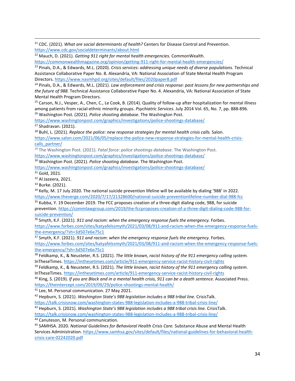<sup>21</sup> CDC. (2021). *What are social determinants of health?* Centers for Disease Control and Prevention. <https://www.cdc.gov/socialdeterminants/about.html>

<sup>22</sup> Mauch, D. (2021). *Getting 911 right for mental health emergencies.* CommonWealth.

<https://commonwealthmagazine.org/opinion/getting-911-right-for-mental-health-emergencies/>

<sup>23</sup> Pinals, D.A., & Edwards, M.L. (2020). *Crisis services: addressing unique needs of diverse populations.* Technical Assistance Collaborative Paper No. 8. Alexandria, VA: National Association of State Mental Health Program Directors.<https://www.nasmhpd.org/sites/default/files/2020paper8.pdf>

<sup>24</sup> Pinals, D.A., & Edwards, M.L. (2021). *Law enforcement and crisis response: past lessons for new partnerships and the future of 988.* Technical Assistance Collaborative Paper No. 4. Alexandria, VA: National Association of State Mental Health Program Directors.

 $25$  Carson, N.J., Vesper, A., Chen, C., Le Cook, B. (2014). Quality of follow-up after hospitalization for mental illness among patients from racial-ethnic minority groups. *Psychiatric Services.* July 2014 Vol. 65, No. 7, pp. 888-896. <sup>26</sup> Washington Post. (2021). *Police shooting database.* The Washington Post.

<https://www.washingtonpost.com/graphics/investigations/police-shootings-database/> <sup>27</sup> Shadravan. (2021).

<sup>28</sup> Buhl, L. (2021). *Replace the police: new response strategies for mental health crisis calls.* Salon. [https://www.salon.com/2021/06/05/replace-the-police-new-response-strategies-for-mental-health-crisis-](https://www.salon.com/2021/06/05/replace-the-police-new-response-strategies-for-mental-health-crisis-calls_partner/r)

[calls\\_partner/](https://www.salon.com/2021/06/05/replace-the-police-new-response-strategies-for-mental-health-crisis-calls_partner/r)

*<sup>29</sup>* The Washington Post. (2021). *Fatal force: police shootings database.* The Washington Post. <https://www.washingtonpost.com/graphics/investigations/police-shootings-database/>

<sup>30</sup> Washington Post. (2021). *Police shooting database.* The Washington Post.

<https://www.washingtonpost.com/graphics/investigations/police-shootings-database/>

<sup>31</sup> Gold, 2021.

<sup>32</sup> Al Jazeera, 2021.

<sup>33</sup> Burke. (2021).

<sup>34</sup> Kelly, M. 17 July 2020. The national suicide prevention lifeline will be available by dialing '988' in 2022. <https://www.theverge.com/2020/7/17/21328600/national-suicide-preventionlifeline-number-dial-988-fcc>

<sup>35</sup> Kubba, Y. 19 December 2019. The FCC proposes creation of a three-digit dialing code, 988, for suicide prevention[. https://commlawgroup.com/2019/the-fccproposes-creation-of-a-three-digit-dialing-code-988-for](https://commlawgroup.com/2019/the-fccproposes-creation-of-a-three-digit-dialing-code-988-for-suicide-prevention/)[suicide-prevention/](https://commlawgroup.com/2019/the-fccproposes-creation-of-a-three-digit-dialing-code-988-for-suicide-prevention/)

<sup>36</sup> Smyth, K.F. (2021). *911 and racism: when the emergency response fuels the emergency.* Forbes. [https://www.forbes.com/sites/katyafelssmyth/2021/03/08/911-and-racism-when-the-emergency-response-fuels](https://www.forbes.com/sites/katyafelssmyth/2021/03/08/911-and-racism-when-the-emergency-response-fuels-the-emergency/?sh=3d507e6e75c1)[the-emergency/?sh=3d507e6e75c1](https://www.forbes.com/sites/katyafelssmyth/2021/03/08/911-and-racism-when-the-emergency-response-fuels-the-emergency/?sh=3d507e6e75c1)

<sup>37</sup> Smyth, K.F. (2021). *911 and racism: when the emergency response fuels the emergency.* Forbes. [https://www.forbes.com/sites/katyafelssmyth/2021/03/08/911-and-racism-when-the-emergency-response-fuels](https://www.forbes.com/sites/katyafelssmyth/2021/03/08/911-and-racism-when-the-emergency-response-fuels-the-emergency/?sh=3d507e6e75c1)[the-emergency/?sh=3d507e6e75c1](https://www.forbes.com/sites/katyafelssmyth/2021/03/08/911-and-racism-when-the-emergency-response-fuels-the-emergency/?sh=3d507e6e75c1)

<sup>38</sup> Feldkamp, K., & Neusteter, R.S. (2021). *The little known, racist history of the 911 emergency calling system.*  InTheseTimes[. https://inthesetimes.com/article/911-emergency-service-racist-history-civil-rights](https://inthesetimes.com/article/911-emergency-service-racist-history-civil-rights)

<sup>39</sup> Feldkamp, K., & Neusteter, R.S. (2021). *The little known, racist history of the 911 emergency calling system.*  InTheseTimes[. https://inthesetimes.com/article/911-emergency-service-racist-history-civil-rights](https://inthesetimes.com/article/911-emergency-service-racist-history-civil-rights)

<sup>40</sup> King, S. (2019). *If you are Black and in a mental health crisis, 911 can be a death sentence.* Associated Press. <https://theintercept.com/2019/09/29/police-shootings-mental-health/>

<sup>41</sup> Lee, M. Personal communication. 27 May 2021.

<sup>42</sup> Hepburn, S. (2021). *Washington State's 988 legislation includes a 988 tribal line.* CrisisTalk. <https://talk.crisisnow.com/washington-states-988-legislation-includes-a-988-tribal-crisis-line/>

<sup>43</sup> Hepburn, S. (2021). *Washington State's 988 legislation includes a 988 tribal crisis line.* CrisisTalk. <https://talk.crisisnow.com/washington-states-988-legislation-includes-a-988-tribal-crisis-line/>

<sup>44</sup> Canuteson, M. Personal communication.

<sup>45</sup> SAMHSA. 2020. *National Guidelines for Behavioral Health Crisis Care.* Substance Abuse and Mental Health Services Administration[. https://www.samhsa.gov/sites/default/files/national-guidelines-for-behavioral-health](https://www.samhsa.gov/sites/default/files/national-guidelines-for-behavioral-health-crisis-care-02242020.pdf)[crisis-care-02242020.pdf](https://www.samhsa.gov/sites/default/files/national-guidelines-for-behavioral-health-crisis-care-02242020.pdf)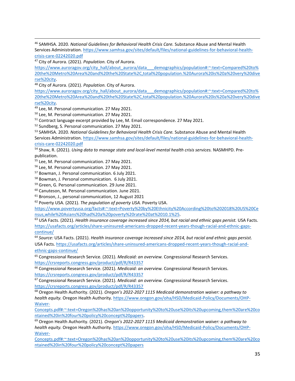<sup>46</sup> SAMHSA. 2020. *National Guidelines for Behavioral Health Crisis Care.* Substance Abuse and Mental Health Services Administration[. https://www.samhsa.gov/sites/default/files/national-guidelines-for-behavioral-health](https://www.samhsa.gov/sites/default/files/national-guidelines-for-behavioral-health-crisis-care-02242020.pdf)[crisis-care-02242020.pdf](https://www.samhsa.gov/sites/default/files/national-guidelines-for-behavioral-health-crisis-care-02242020.pdf)

<sup>47</sup> City of Aurora. (2021). *Population.* City of Aurora.

[https://www.auroragov.org/city\\_hall/about\\_aurora/data\\_\\_\\_demographics/population#:~:text=Compared%20to%](https://www.auroragov.org/city_hall/about_aurora/data___demographics/population#:%7E:text=Compared%20to%20the%20Metro%20Area%20and%20the%20State%2C,total%20population.%20Aurora%20is%20a%20very%20diverse%20city) [20the%20Metro%20Area%20and%20the%20State%2C,total%20population.%20Aurora%20is%20a%20very%20dive](https://www.auroragov.org/city_hall/about_aurora/data___demographics/population#:%7E:text=Compared%20to%20the%20Metro%20Area%20and%20the%20State%2C,total%20population.%20Aurora%20is%20a%20very%20diverse%20city) [rse%20city.](https://www.auroragov.org/city_hall/about_aurora/data___demographics/population#:%7E:text=Compared%20to%20the%20Metro%20Area%20and%20the%20State%2C,total%20population.%20Aurora%20is%20a%20very%20diverse%20city) 48 City of Aurora. (2021). *Population.* City of Aurora.

[https://www.auroragov.org/city\\_hall/about\\_aurora/data\\_\\_\\_demographics/population#:~:text=Compared%20to%](https://www.auroragov.org/city_hall/about_aurora/data___demographics/population#:%7E:text=Compared%20to%20the%20Metro%20Area%20and%20the%20State%2C,total%20population.%20Aurora%20is%20a%20very%20diverse%20city) [20the%20Metro%20Area%20and%20the%20State%2C,total%20population.%20Aurora%20is%20a%20very%20dive](https://www.auroragov.org/city_hall/about_aurora/data___demographics/population#:%7E:text=Compared%20to%20the%20Metro%20Area%20and%20the%20State%2C,total%20population.%20Aurora%20is%20a%20very%20diverse%20city) [rse%20city.](https://www.auroragov.org/city_hall/about_aurora/data___demographics/population#:%7E:text=Compared%20to%20the%20Metro%20Area%20and%20the%20State%2C,total%20population.%20Aurora%20is%20a%20very%20diverse%20city)

<sup>49</sup> Lee, M. Personal communication. 27 May 2021.

<sup>50</sup> Lee, M. Personal communication. 27 May 2021.

<sup>51</sup> Contract language excerpt provided by Lee, M. Email correspondence. 27 May 2021.

<sup>52</sup> Sundberg, S. Personal communication. 27 May 2021.<br><sup>53</sup> SAMHSA. 2020. *National Guidelines for Behavioral Health Crisis Care.* Substance Abuse and Mental Health Services Administration[. https://www.samhsa.gov/sites/default/files/national-guidelines-for-behavioral-health](https://www.samhsa.gov/sites/default/files/national-guidelines-for-behavioral-health-crisis-care-02242020.pdf)[crisis-care-02242020.pdf](https://www.samhsa.gov/sites/default/files/national-guidelines-for-behavioral-health-crisis-care-02242020.pdf)

<sup>54</sup> Shaw, R. (2021). *Using data to manage state and local-level mental health crisis services.* NASMHPD. Prepublication.

<sup>55</sup> Lee, M. Personal communication. 27 May 2021.

- <sup>56</sup> Lee, M. Personal communication. 27 May 2021.
- <sup>57</sup> Bowman, J. Personal communication. 6 July 2021.
- <sup>58</sup> Bowman, J. Personal communication. 6 July 2021.
- <sup>59</sup> Green, G. Personal communication. 29 June 2021.
- <sup>60</sup> Canuteson, M. Personal communication. June 2021.

<sup>61</sup> Bronson, J., personal communication, 12 August 2021

<sup>62</sup> Poverty USA. (2021). *The population of poverty USA.* Poverty USA.

[https://www.povertyusa.org/facts#:~:text=Poverty%20by%20Ethnicity%20According%20to%202018%20US%20Ce](https://www.povertyusa.org/facts#:%7E:text=Poverty%20by%20Ethnicity%20According%20to%202018%20US%20Census,while%20Asians%20had%20a%20poverty%20rate%20at%2010.1%25) [nsus,while%20Asians%20had%20a%20poverty%20rate%20at%2010.1%25.](https://www.povertyusa.org/facts#:%7E:text=Poverty%20by%20Ethnicity%20According%20to%202018%20US%20Census,while%20Asians%20had%20a%20poverty%20rate%20at%2010.1%25) 63 USA Facts. (2021). *Health insurance coverage increased since 2014, but racial and ethnic gaps persist.* USA Facts.

[https://usafacts.org/articles/share-uninsured-americans-dropped-recent-years-though-racial-and-ethnic-gaps](https://usafacts.org/articles/share-uninsured-americans-dropped-recent-years-though-racial-and-ethnic-gaps-continue/)[continue/](https://usafacts.org/articles/share-uninsured-americans-dropped-recent-years-though-racial-and-ethnic-gaps-continue/)

<sup>64</sup> *Source:* USA Facts. (2021). *Health insurance coverage increased since 2014, but racial and ethnic gaps persist.*  USA Facts[. https://usafacts.org/articles/share-uninsured-americans-dropped-recent-years-though-racial-and](https://usafacts.org/articles/share-uninsured-americans-dropped-recent-years-though-racial-and-ethnic-gaps-continue/)[ethnic-gaps-continue/](https://usafacts.org/articles/share-uninsured-americans-dropped-recent-years-though-racial-and-ethnic-gaps-continue/)

<sup>65</sup> Congressional Research Service. (2021). *Medicaid: an overview.* Congressional Research Services. <https://crsreports.congress.gov/product/pdf/R/R43357>

<sup>66</sup> Congressional Research Service. (2021). *Medicaid: an overview.* Congressional Research Services. <https://crsreports.congress.gov/product/pdf/R/R43357>

<sup>67</sup> Congressional Research Service. (2021). *Medicaid: an overview.* Congressional Research Services. <https://crsreports.congress.gov/product/pdf/R/R43357>

<sup>68</sup> Oregon Health Authority. (2021). *Oregon's 2022-2027 1115 Medicaid demonstration waiver: a pathway to health equity.* Oregon Health Authority. [https://www.oregon.gov/oha/HSD/Medicaid-Policy/Documents/OHP-](https://www.oregon.gov/oha/HSD/Medicaid-Policy/Documents/OHP-Waiver-Concepts.pdf#:%7E:text=Oregon%20has%20an%20opportunity%20to%20use%20its%20upcoming,them%20are%20contained%20in%20four%20policy%20concept%20papers)[Waiver-](https://www.oregon.gov/oha/HSD/Medicaid-Policy/Documents/OHP-Waiver-Concepts.pdf#:%7E:text=Oregon%20has%20an%20opportunity%20to%20use%20its%20upcoming,them%20are%20contained%20in%20four%20policy%20concept%20papers)

[Concepts.pdf#:~:text=Oregon%20has%20an%20opportunity%20to%20use%20its%20upcoming,them%20are%20co](https://www.oregon.gov/oha/HSD/Medicaid-Policy/Documents/OHP-Waiver-Concepts.pdf#:%7E:text=Oregon%20has%20an%20opportunity%20to%20use%20its%20upcoming,them%20are%20contained%20in%20four%20policy%20concept%20papers) ntained%20in%20four%20policy%20concept%20papers.<br><sup>69</sup> Oregon Health Authority. (2021). *Oregon's 2022-2027 1115 Medicaid demonstration waiver: a pathway to* 

*health equity.* Oregon Health Authority. [https://www.oregon.gov/oha/HSD/Medicaid-Policy/Documents/OHP-](https://www.oregon.gov/oha/HSD/Medicaid-Policy/Documents/OHP-Waiver-Concepts.pdf#:%7E:text=Oregon%20has%20an%20opportunity%20to%20use%20its%20upcoming,them%20are%20contained%20in%20four%20policy%20concept%20papers)[Waiver-](https://www.oregon.gov/oha/HSD/Medicaid-Policy/Documents/OHP-Waiver-Concepts.pdf#:%7E:text=Oregon%20has%20an%20opportunity%20to%20use%20its%20upcoming,them%20are%20contained%20in%20four%20policy%20concept%20papers)

[Concepts.pdf#:~:text=Oregon%20has%20an%20opportunity%20to%20use%20its%20upcoming,them%20are%20co](https://www.oregon.gov/oha/HSD/Medicaid-Policy/Documents/OHP-Waiver-Concepts.pdf#:%7E:text=Oregon%20has%20an%20opportunity%20to%20use%20its%20upcoming,them%20are%20contained%20in%20four%20policy%20concept%20papers) [ntained%20in%20four%20policy%20concept%20papers](https://www.oregon.gov/oha/HSD/Medicaid-Policy/Documents/OHP-Waiver-Concepts.pdf#:%7E:text=Oregon%20has%20an%20opportunity%20to%20use%20its%20upcoming,them%20are%20contained%20in%20four%20policy%20concept%20papers)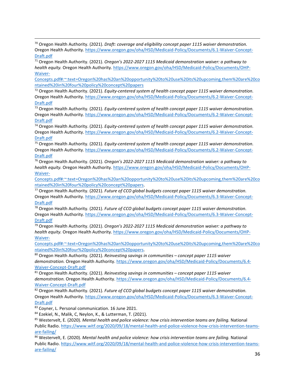<sup>70</sup> Oregon Health Authority. (2021). *Draft: coverage and eligibility concept paper 1115 waiver demonstration.*  Oregon Health Authority. [https://www.oregon.gov/oha/HSD/Medicaid-Policy/Documents/6.1-Waiver-Concept-](https://www.oregon.gov/oha/HSD/Medicaid-Policy/Documents/6.1-Waiver-Concept-Draft.pdf)[Draft.pdf](https://www.oregon.gov/oha/HSD/Medicaid-Policy/Documents/6.1-Waiver-Concept-Draft.pdf)

<sup>71</sup> Oregon Health Authority. (2021). *Oregon's 2022-2027 1115 Medicaid demonstration waiver: a pathway to health equity.* Oregon Health Authority. [https://www.oregon.gov/oha/HSD/Medicaid-Policy/Documents/OHP-](https://www.oregon.gov/oha/HSD/Medicaid-Policy/Documents/OHP-Waiver-Concepts.pdf#:%7E:text=Oregon%20has%20an%20opportunity%20to%20use%20its%20upcoming,them%20are%20contained%20in%20four%20policy%20concept%20papers)[Waiver-](https://www.oregon.gov/oha/HSD/Medicaid-Policy/Documents/OHP-Waiver-Concepts.pdf#:%7E:text=Oregon%20has%20an%20opportunity%20to%20use%20its%20upcoming,them%20are%20contained%20in%20four%20policy%20concept%20papers)

[Concepts.pdf#:~:text=Oregon%20has%20an%20opportunity%20to%20use%20its%20upcoming,them%20are%20co](https://www.oregon.gov/oha/HSD/Medicaid-Policy/Documents/OHP-Waiver-Concepts.pdf#:%7E:text=Oregon%20has%20an%20opportunity%20to%20use%20its%20upcoming,them%20are%20contained%20in%20four%20policy%20concept%20papers) [ntained%20in%20four%20policy%20concept%20papers](https://www.oregon.gov/oha/HSD/Medicaid-Policy/Documents/OHP-Waiver-Concepts.pdf#:%7E:text=Oregon%20has%20an%20opportunity%20to%20use%20its%20upcoming,them%20are%20contained%20in%20four%20policy%20concept%20papers)

<sup>72</sup> Oregon Health Authority. (2021). *Equity-centered system of health concept paper 1115 waiver demonstration.*  Oregon Health Authority. [https://www.oregon.gov/oha/HSD/Medicaid-Policy/Documents/6.2-Waiver-Concept-](https://www.oregon.gov/oha/HSD/Medicaid-Policy/Documents/6.2-Waiver-Concept-Draft.pdf)[Draft.pdf](https://www.oregon.gov/oha/HSD/Medicaid-Policy/Documents/6.2-Waiver-Concept-Draft.pdf)

<sup>73</sup> Oregon Health Authority. (2021). *Equity-centered system of health concept paper 1115 waiver demonstration.*  Oregon Health Authority. [https://www.oregon.gov/oha/HSD/Medicaid-Policy/Documents/6.2-Waiver-Concept-](https://www.oregon.gov/oha/HSD/Medicaid-Policy/Documents/6.2-Waiver-Concept-Draft.pdf)[Draft.pdf](https://www.oregon.gov/oha/HSD/Medicaid-Policy/Documents/6.2-Waiver-Concept-Draft.pdf)

<sup>74</sup> Oregon Health Authority. (2021). *Equity-centered system of health concept paper 1115 waiver demonstration.*  Oregon Health Authority. [https://www.oregon.gov/oha/HSD/Medicaid-Policy/Documents/6.2-Waiver-Concept-](https://www.oregon.gov/oha/HSD/Medicaid-Policy/Documents/6.2-Waiver-Concept-Draft.pdf)[Draft.pdf](https://www.oregon.gov/oha/HSD/Medicaid-Policy/Documents/6.2-Waiver-Concept-Draft.pdf)

<sup>75</sup> Oregon Health Authority. (2021). *Equity-centered system of health concept paper 1115 waiver demonstration.*  Oregon Health Authority. [https://www.oregon.gov/oha/HSD/Medicaid-Policy/Documents/6.2-Waiver-Concept-](https://www.oregon.gov/oha/HSD/Medicaid-Policy/Documents/6.2-Waiver-Concept-Draft.pdf)[Draft.pdf](https://www.oregon.gov/oha/HSD/Medicaid-Policy/Documents/6.2-Waiver-Concept-Draft.pdf)

<sup>76</sup> Oregon Health Authority. (2021). *Oregon's 2022-2027 1115 Medicaid demonstration waiver: a pathway to health equity.* Oregon Health Authority. [https://www.oregon.gov/oha/HSD/Medicaid-Policy/Documents/OHP-](https://www.oregon.gov/oha/HSD/Medicaid-Policy/Documents/OHP-Waiver-Concepts.pdf#:%7E:text=Oregon%20has%20an%20opportunity%20to%20use%20its%20upcoming,them%20are%20contained%20in%20four%20policy%20concept%20papers)[Waiver-](https://www.oregon.gov/oha/HSD/Medicaid-Policy/Documents/OHP-Waiver-Concepts.pdf#:%7E:text=Oregon%20has%20an%20opportunity%20to%20use%20its%20upcoming,them%20are%20contained%20in%20four%20policy%20concept%20papers)

[Concepts.pdf#:~:text=Oregon%20has%20an%20opportunity%20to%20use%20its%20upcoming,them%20are%20co](https://www.oregon.gov/oha/HSD/Medicaid-Policy/Documents/OHP-Waiver-Concepts.pdf#:%7E:text=Oregon%20has%20an%20opportunity%20to%20use%20its%20upcoming,them%20are%20contained%20in%20four%20policy%20concept%20papers)

<sup>77</sup> Oregon Health Authority. (2021). *Future of CCO global budgets concept paper 1115 waiver demonstration.* Oregon Health Authority. [https://www.oregon.gov/oha/HSD/Medicaid-Policy/Documents/6.3-Waiver-Concept-](https://www.oregon.gov/oha/HSD/Medicaid-Policy/Documents/6.3-Waiver-Concept-Draft.pdf)[Draft.pdf](https://www.oregon.gov/oha/HSD/Medicaid-Policy/Documents/6.3-Waiver-Concept-Draft.pdf)

<sup>78</sup> Oregon Health Authority. (2021). *Future of CCO global budgets concept paper 1115 waiver demonstration.*  Oregon Health Authority. [https://www.oregon.gov/oha/HSD/Medicaid-Policy/Documents/6.3-Waiver-Concept-](https://www.oregon.gov/oha/HSD/Medicaid-Policy/Documents/6.3-Waiver-Concept-Draft.pdf)[Draft.pdf](https://www.oregon.gov/oha/HSD/Medicaid-Policy/Documents/6.3-Waiver-Concept-Draft.pdf)

<sup>79</sup> Oregon Health Authority. (2021). *Oregon's 2022-2027 1115 Medicaid demonstration waiver: a pathway to health equity.* Oregon Health Authority. [https://www.oregon.gov/oha/HSD/Medicaid-Policy/Documents/OHP-](https://www.oregon.gov/oha/HSD/Medicaid-Policy/Documents/OHP-Waiver-Concepts.pdf#:%7E:text=Oregon%20has%20an%20opportunity%20to%20use%20its%20upcoming,them%20are%20contained%20in%20four%20policy%20concept%20papers)[Waiver-](https://www.oregon.gov/oha/HSD/Medicaid-Policy/Documents/OHP-Waiver-Concepts.pdf#:%7E:text=Oregon%20has%20an%20opportunity%20to%20use%20its%20upcoming,them%20are%20contained%20in%20four%20policy%20concept%20papers)

[Concepts.pdf#:~:text=Oregon%20has%20an%20opportunity%20to%20use%20its%20upcoming,them%20are%20co](https://www.oregon.gov/oha/HSD/Medicaid-Policy/Documents/OHP-Waiver-Concepts.pdf#:%7E:text=Oregon%20has%20an%20opportunity%20to%20use%20its%20upcoming,them%20are%20contained%20in%20four%20policy%20concept%20papers) [ntained%20in%20four%20policy%20concept%20papers.](https://www.oregon.gov/oha/HSD/Medicaid-Policy/Documents/OHP-Waiver-Concepts.pdf#:%7E:text=Oregon%20has%20an%20opportunity%20to%20use%20its%20upcoming,them%20are%20contained%20in%20four%20policy%20concept%20papers) 80 Oregon Health Authority. (2021). *Reinvesting savings in communities – concept paper 1115 waiver* 

*demonstration.* Oregon Health Authority[. https://www.oregon.gov/oha/HSD/Medicaid-Policy/Documents/6.4-](https://www.oregon.gov/oha/HSD/Medicaid-Policy/Documents/6.4-Waiver-Concept-Draft.pdf) [Waiver-Concept-Draft.pdf](https://www.oregon.gov/oha/HSD/Medicaid-Policy/Documents/6.4-Waiver-Concept-Draft.pdf)

<sup>81</sup> Oregon Health Authority. (2021). *Reinvesting savings in communities – concept paper 1115 waiver demonstration.* Oregon Health Authority[. https://www.oregon.gov/oha/HSD/Medicaid-Policy/Documents/6.4-](https://www.oregon.gov/oha/HSD/Medicaid-Policy/Documents/6.4-Waiver-Concept-Draft.pdf) [Waiver-Concept-Draft.pdf](https://www.oregon.gov/oha/HSD/Medicaid-Policy/Documents/6.4-Waiver-Concept-Draft.pdf)

<sup>82</sup> Oregon Health Authority. (2021). *Future of CCO global budgets concept paper 1115 waiver demonstration.*  Oregon Health Authority. [https://www.oregon.gov/oha/HSD/Medicaid-Policy/Documents/6.3-Waiver-Concept-](https://www.oregon.gov/oha/HSD/Medicaid-Policy/Documents/6.3-Waiver-Concept-Draft.pdf)[Draft.pdf](https://www.oregon.gov/oha/HSD/Medicaid-Policy/Documents/6.3-Waiver-Concept-Draft.pdf)

<sup>83</sup> Coyner, L. Personal communication. 16 June 2021.<br><sup>84</sup> Ezekiel, N., Malik, C, Neylon, K., & Lutterman, T. (2021).<br><sup>85</sup> Westervelt, E. (2020). *Mental health and police violence: how crisis intervention teams are failin* Public Radio[. https://www.witf.org/2020/09/18/mental-health-and-police-violence-how-crisis-intervention-teams](https://www.witf.org/2020/09/18/mental-health-and-police-violence-how-crisis-intervention-teams-are-failing/)[are-failing/](https://www.witf.org/2020/09/18/mental-health-and-police-violence-how-crisis-intervention-teams-are-failing/)

<sup>86</sup> Westervelt, E. (2020). *Mental health and police violence: how crisis intervention teams are failing.* National Public Radio[. https://www.witf.org/2020/09/18/mental-health-and-police-violence-how-crisis-intervention-teams](https://www.witf.org/2020/09/18/mental-health-and-police-violence-how-crisis-intervention-teams-are-failing/)[are-failing/](https://www.witf.org/2020/09/18/mental-health-and-police-violence-how-crisis-intervention-teams-are-failing/)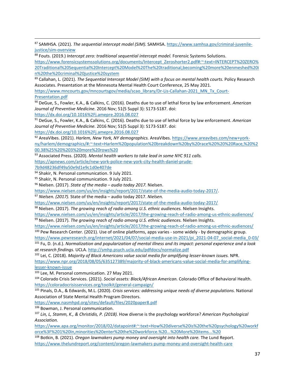87 SAMHSA. (2021). *The sequential intercept model (SIM)*. SAMHSA[. https://www.samhsa.gov/criminal-juvenile](https://www.samhsa.gov/criminal-juvenile-justice/sim-overview)[justice/sim-overview](https://www.samhsa.gov/criminal-juvenile-justice/sim-overview)

88 Fouts. (2019.) *Intercept zero: traditional sequential intercept model.* Forensic Systems Solutions.

[https://www.forensicsystemssolutions.org/documents/Intercept\\_Zeroshorter2.pdf#:~:text=INTERCEPT%20ZERO%](https://www.forensicsystemssolutions.org/documents/Intercept_Zeroshorter2.pdf#:%7E:text=INTERCEPT%20ZERO%20Traditional%20Sequential%20Intercept%20Model%20The%20traditional,becoming%20more%20enmeshed%20in%20the%20criminal%20justice%20system) [20Traditional%20Sequential%20Intercept%20Model%20The%20traditional,becoming%20more%20enmeshed%20i](https://www.forensicsystemssolutions.org/documents/Intercept_Zeroshorter2.pdf#:%7E:text=INTERCEPT%20ZERO%20Traditional%20Sequential%20Intercept%20Model%20The%20traditional,becoming%20more%20enmeshed%20in%20the%20criminal%20justice%20system) [n%20the%20criminal%20justice%20system](https://www.forensicsystemssolutions.org/documents/Intercept_Zeroshorter2.pdf#:%7E:text=INTERCEPT%20ZERO%20Traditional%20Sequential%20Intercept%20Model%20The%20traditional,becoming%20more%20enmeshed%20in%20the%20criminal%20justice%20system)

89 Callahan, L. (2021). *The Sequential Intercept Model (SIM) with a focus on mental health courts.* Policy Research Associates. Presentation at the Minnesota Mental Health Court Conference, 25 May 2021.

[https://www.mncourts.gov/mncourtsgov/media/scao\\_library/Dr-Lis-Callahan-2021\\_MN\\_Tx\\_Court-](https://www.mncourts.gov/mncourtsgov/media/scao_library/Dr-Lis-Callahan-2021_MN_Tx_Court-Presentation.pdf)[Presentation.pdf](https://www.mncourts.gov/mncourtsgov/media/scao_library/Dr-Lis-Callahan-2021_MN_Tx_Court-Presentation.pdf)

<sup>90</sup> DeGue, S., Fowler, K.A., & Calkins, C. (2016). Deaths due to use of lethal force by law enforcement. *American Journal of Preventive Medicine.* 2016 Nov; 51(5 Suppl 3): S173-S187. doi:

<https://dx.doi.org/10.1016%2Fj.amepre.2016.08.027>

<sup>91</sup> DeGue, S., Fowler, K.A., & Calkins, C. (2016). Deaths due to use of lethal force by law enforcement. *American Journal of Preventive Medicine.* 2016 Nov; 51(5 Suppl 3): S173-S187. doi:

<https://dx.doi.org/10.1016%2Fj.amepre.2016.08.027>

<sup>92</sup> AreaVibes. (2021). *Harlem, New York, NY demographics.* AreaVibes[. https://www.areavibes.com/new+york](https://www.areavibes.com/new+york-ny/harlem/demographics/#:%7E:text=Harlem%20population%20breakdown%20by%20race%20%20%20Race,%20%200.38%25%20%203%20more%20rows%20)[ny/harlem/demographics/#:~:text=Harlem%20population%20breakdown%20by%20race%20%20%20Race,%20%2](https://www.areavibes.com/new+york-ny/harlem/demographics/#:%7E:text=Harlem%20population%20breakdown%20by%20race%20%20%20Race,%20%200.38%25%20%203%20more%20rows%20) [00.38%25%20%203%20more%20rows%20](https://www.areavibes.com/new+york-ny/harlem/demographics/#:%7E:text=Harlem%20population%20breakdown%20by%20race%20%20%20Race,%20%200.38%25%20%203%20more%20rows%20)

<sup>93</sup> Associated Press. (2020). *Mental health workers to take lead in some NYC 911 calls.* 

[https://apnews.com/article/new-york-police-new-york-city-health-daniel-prude-](https://apnews.com/article/new-york-police-new-york-city-health-daniel-prude-7b9d48236df49a50e9d1e9c1d0e407de)

[7b9d48236df49a50e9d1e9c1d0e407de](https://apnews.com/article/new-york-police-new-york-city-health-daniel-prude-7b9d48236df49a50e9d1e9c1d0e407de)

94 Shakir, N. Personal communication. 9 July 2021.

95 Shakir, N. Personal communication. 9 July 2021.

<sup>96</sup> Nielsen. (2017). *State of the media – audio today 2017.* Nielsen.

[https://www.nielsen.com/us/en/insights/report/2017/state-of-the-media-audio-today-2017/.](https://www.nielsen.com/us/en/insights/report/2017/state-of-the-media-audio-today-2017/) 97 *Nielsen. (2017).* State of the media – audio today 2017. *Nielsen.* 

<https://www.nielsen.com/us/en/insights/report/2017/state-of-the-media-audio-today-2017/>

<sup>98</sup> Nielsen. (2017). *The growing reach of radio among U.S. ethnic audiences.* Nielsen Insights.

<https://www.nielsen.com/us/en/insights/article/2017/the-growing-reach-of-radio-among-us-ethnic-audiences/>

<sup>99</sup> Nielsen. (2017). *The growing reach of radio among U.S. ethnic audiences.* Nielsen Insights.

<https://www.nielsen.com/us/en/insights/article/2017/the-growing-reach-of-radio-among-us-ethnic-audiences/> <sup>100</sup> Pew Research Center. (2021). Use of online platforms, apps varies - some widely - by demographic group.

[https://www.pewresearch.org/internet/2021/04/07/social-media-use-in-2021/pi\\_2021-04-07\\_social-media\\_0-03/](https://www.pewresearch.org/internet/2021/04/07/social-media-use-in-2021/pi_2021-04-07_social-media_0-03/)

<sup>101</sup> Fu, D. (n.d.). *Normalization and popularization of mental illness and its impact: personal experience and a look at research findings.* UCLA.<http://smhp.psych.ucla.edu/pdfdocs/normalize.pdf>

<sup>102</sup> Lei, C. (2018). *Majority of Black Americans value social media for amplifying lesser-known issues.* NPR. [https://www.npr.org/2018/08/05/635127389/majority-of-black-americans-value-social-media-for-amplifying](https://www.npr.org/2018/08/05/635127389/majority-of-black-americans-value-social-media-for-amplifying-lesser-known-issue)[lesser-known-issue](https://www.npr.org/2018/08/05/635127389/majority-of-black-americans-value-social-media-for-amplifying-lesser-known-issue)

<sup>103</sup> Lee, M. Personal communication. 27 May 2021.

<sup>104</sup> Colorado Crisis Services. (2021). *Social assets: Black/African American.* Colorado Office of Behavioral Health. <https://coloradocrisisservices.org/toolkit/general-campaign/>

<sup>105</sup> Pinals, D.A., & Edwards, M.L. (2020). *Crisis services: addressing unique needs of diverse populations.* National Association of State Mental Health Program Directors.

<https://www.nasmhpd.org/sites/default/files/2020paper8.pdf>

<sup>106</sup> Bowman, J. Personal communication.<br><sup>107</sup> Lin, L, Stamm, K., & Christidis, P. (2018). How diverse is the psychology workforce? *American Psychological Association.* 

[https://www.apa.org/monitor/2018/02/datapoint#:~:text=How%20diverse%20is%20the%20psychology%20workf](https://www.apa.org/monitor/2018/02/datapoint#:%7E:text=How%20diverse%20is%20the%20psychology%20workforce%3F%201%20In,minorities%20enter%20the%20workforce.%20...%20More%20items...%20) [orce%3F%201%20In,minorities%20enter%20the%20workforce.%20...%20More%20items...%20](https://www.apa.org/monitor/2018/02/datapoint#:%7E:text=How%20diverse%20is%20the%20psychology%20workforce%3F%201%20In,minorities%20enter%20the%20workforce.%20...%20More%20items...%20)

<sup>108</sup> Botkin, B. (2021). *Oregon lawmakers pump money and oversight into health care.* The Lund Report. <https://www.thelundreport.org/content/oregon-lawmakers-pump-money-and-oversight-health-care>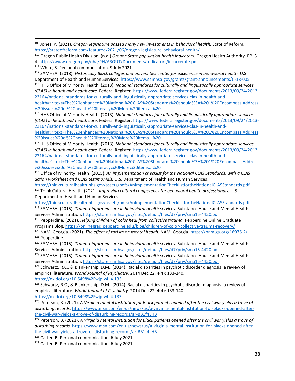<sup>109</sup> Jones, P. (2021). *Oregon legislature passed many new investments in behavioral health.* State of Reform. <https://stateofreform.com/featured/2021/06/oregon-legislature-behavioral-health/>

<sup>110</sup> Oregon Public Health Division. (n.d.) *Oregon State population health indicators.* Oregon Health Authority. PP. 3- 4.<https://www.oregon.gov/oha/PH/ABOUT/Documents/indicators/incarcerate.pdf>

<sup>111</sup> White, S. Personal communication. 9 July 2021.

112 SAMHSA. (2018). *Historically Black colleges and universities center for excellence in behavioral health.* U.S. Department of Health and Human Services[. https://www.samhsa.gov/grants/grant-announcements/ti-18-005](https://www.samhsa.gov/grants/grant-announcements/ti-18-005)

<sup>113</sup> HHS Office of Minority Health. (2013). *National standards for culturally and linguistically appropriate services (CLAS) in health and health care.* Federal Register[. https://www.federalregister.gov/documents/2013/09/24/2013-](https://www.federalregister.gov/documents/2013/09/24/2013-23164/national-standards-for-culturally-and-linguistically-appropriate-services-clas-in-health-and-health#:%7E:text=The%20enhanced%20National%20CLAS%20Standards%20should%3A%201%20Encompass,Address%20issues%20of%20health%20literacy%20More%20items...%20) [23164/national-standards-for-culturally-and-linguistically-appropriate-services-clas-in-health-and-](https://www.federalregister.gov/documents/2013/09/24/2013-23164/national-standards-for-culturally-and-linguistically-appropriate-services-clas-in-health-and-health#:%7E:text=The%20enhanced%20National%20CLAS%20Standards%20should%3A%201%20Encompass,Address%20issues%20of%20health%20literacy%20More%20items...%20)

[health#:~:text=The%20enhanced%20National%20CLAS%20Standards%20should%3A%201%20Encompass,Address](https://www.federalregister.gov/documents/2013/09/24/2013-23164/national-standards-for-culturally-and-linguistically-appropriate-services-clas-in-health-and-health#:%7E:text=The%20enhanced%20National%20CLAS%20Standards%20should%3A%201%20Encompass,Address%20issues%20of%20health%20literacy%20More%20items...%20) [%20issues%20of%20health%20literacy%20More%20items...%20](https://www.federalregister.gov/documents/2013/09/24/2013-23164/national-standards-for-culturally-and-linguistically-appropriate-services-clas-in-health-and-health#:%7E:text=The%20enhanced%20National%20CLAS%20Standards%20should%3A%201%20Encompass,Address%20issues%20of%20health%20literacy%20More%20items...%20)

<sup>114</sup> HHS Office of Minority Health. (2013). *National standards for culturally and linguistically appropriate services (CLAS) in health and health care.* Federal Register[. https://www.federalregister.gov/documents/2013/09/24/2013-](https://www.federalregister.gov/documents/2013/09/24/2013-23164/national-standards-for-culturally-and-linguistically-appropriate-services-clas-in-health-and-health#:%7E:text=The%20enhanced%20National%20CLAS%20Standards%20should%3A%201%20Encompass,Address%20issues%20of%20health%20literacy%20More%20items...%20) [23164/national-standards-for-culturally-and-linguistically-appropriate-services-clas-in-health-and-](https://www.federalregister.gov/documents/2013/09/24/2013-23164/national-standards-for-culturally-and-linguistically-appropriate-services-clas-in-health-and-health#:%7E:text=The%20enhanced%20National%20CLAS%20Standards%20should%3A%201%20Encompass,Address%20issues%20of%20health%20literacy%20More%20items...%20)

[health#:~:text=The%20enhanced%20National%20CLAS%20Standards%20should%3A%201%20Encompass,Address](https://www.federalregister.gov/documents/2013/09/24/2013-23164/national-standards-for-culturally-and-linguistically-appropriate-services-clas-in-health-and-health#:%7E:text=The%20enhanced%20National%20CLAS%20Standards%20should%3A%201%20Encompass,Address%20issues%20of%20health%20literacy%20More%20items...%20) [%20issues%20of%20health%20literacy%20More%20items...%20](https://www.federalregister.gov/documents/2013/09/24/2013-23164/national-standards-for-culturally-and-linguistically-appropriate-services-clas-in-health-and-health#:%7E:text=The%20enhanced%20National%20CLAS%20Standards%20should%3A%201%20Encompass,Address%20issues%20of%20health%20literacy%20More%20items...%20)

<sup>115</sup> HHS Office of Minority Health. (2013). *National standards for culturally and linguistically appropriate services (CLAS) in health and health care.* Federal Register[. https://www.federalregister.gov/documents/2013/09/24/2013-](https://www.federalregister.gov/documents/2013/09/24/2013-23164/national-standards-for-culturally-and-linguistically-appropriate-services-clas-in-health-and-health#:%7E:text=The%20enhanced%20National%20CLAS%20Standards%20should%3A%201%20Encompass,Address%20issues%20of%20health%20literacy%20More%20items...%20) [23164/national-standards-for-culturally-and-linguistically-appropriate-services-clas-in-health-and-](https://www.federalregister.gov/documents/2013/09/24/2013-23164/national-standards-for-culturally-and-linguistically-appropriate-services-clas-in-health-and-health#:%7E:text=The%20enhanced%20National%20CLAS%20Standards%20should%3A%201%20Encompass,Address%20issues%20of%20health%20literacy%20More%20items...%20)

[health#:~:text=The%20enhanced%20National%20CLAS%20Standards%20should%3A%201%20Encompass,Address](https://www.federalregister.gov/documents/2013/09/24/2013-23164/national-standards-for-culturally-and-linguistically-appropriate-services-clas-in-health-and-health#:%7E:text=The%20enhanced%20National%20CLAS%20Standards%20should%3A%201%20Encompass,Address%20issues%20of%20health%20literacy%20More%20items...%20) [%20issues%20of%20health%20literacy%20More%20items...%20](https://www.federalregister.gov/documents/2013/09/24/2013-23164/national-standards-for-culturally-and-linguistically-appropriate-services-clas-in-health-and-health#:%7E:text=The%20enhanced%20National%20CLAS%20Standards%20should%3A%201%20Encompass,Address%20issues%20of%20health%20literacy%20More%20items...%20)

<sup>116</sup> Office of Minority Health. (2015). *An implementation checklist for the National CLAS Standards: with a CLAS action worksheet and CLAS testimonials.* U.S. Department of Health and Human Services.

<https://thinkculturalhealth.hhs.gov/assets/pdfs/AnImplementationChecklistfortheNationalCLASStandards.pdf> <sup>117</sup> Think Cultural Health. (2021). *Improving cultural competency for behavioral health professionals.* U.S. Department of Health and Human Services.

<https://thinkculturalhealth.hhs.gov/assets/pdfs/AnImplementationChecklistfortheNationalCLASStandards.pdf> <sup>118</sup> SAMHSA. (2015). *Trauma-informed care in behavioral health services.* Substance Abuse and Mental Health Services Administration[. https://store.samhsa.gov/sites/default/files/d7/priv/sma15-4420.pdf](https://store.samhsa.gov/sites/default/files/d7/priv/sma15-4420.pdf)

<sup>119</sup> Pepperdine. (2021). *Helping children of color heal from collective trauma.* Pepperdine Online Graduate Programs Blog[. https://onlinegrad.pepperdine.edu/blog/children-of-color-collective-trauma-recovery/](https://onlinegrad.pepperdine.edu/blog/children-of-color-collective-trauma-recovery/)

<sup>120</sup> NAMI Georgia. (2021). *The effect of racism on mental health.* NAMI Georgia[. https://namiga.org/16976-2/](https://namiga.org/16976-2/) <sup>121</sup> Pepperdine.

<sup>122</sup> SAMHSA. (2015). *Trauma-informed care in behavioral health services.* Substance Abuse and Mental Health Services Administration[. https://store.samhsa.gov/sites/default/files/d7/priv/sma15-4420.pdf](https://store.samhsa.gov/sites/default/files/d7/priv/sma15-4420.pdf)

<sup>123</sup> SAMHSA. (2015). *Trauma-informed care in behavioral health services.* Substance Abuse and Mental Health Services Administration[. https://store.samhsa.gov/sites/default/files/d7/priv/sma15-4420.pdf](https://store.samhsa.gov/sites/default/files/d7/priv/sma15-4420.pdf)

<sup>124</sup> Schwartz, R.C., & Blankenship, D.M.. (2014). Racial disparities in psychotic disorder diagnosis: a review of empirical literature. *World Journal of Psychiatry.* 2014 Dec 22; 4(4): 133-140.

<https://dx.doi.org/10.5498%2Fwjp.v4.i4.133>

125 Schwartz, R.C., & Blankenship, D.M.. (2014). Racial disparities in psychotic disorder diagnosis: a review of empirical literature. *World Journal of Psychiatry.* 2014 Dec 22; 4(4): 133-140.

<https://dx.doi.org/10.5498%2Fwjp.v4.i4.133>

<sup>126</sup> Peterson, B. (2021). *A Virginia mental institution for Black patients opened after the civil war yields a trove of disturbing records.* [https://www.msn.com/en-us/news/us/a-virginia-mental-institution-for-blacks-opened-after](https://www.msn.com/en-us/news/us/a-virginia-mental-institution-for-blacks-opened-after-the-civil-war-yields-a-trove-of-disturbing-records/ar-BB1f4LHB)[the-civil-war-yields-a-trove-of-disturbing-records/ar-BB1f4LHB](https://www.msn.com/en-us/news/us/a-virginia-mental-institution-for-blacks-opened-after-the-civil-war-yields-a-trove-of-disturbing-records/ar-BB1f4LHB)

<sup>127</sup> Peterson, B. (2021). *A Virginia mental institution for Black patients opened after the civil war yields a trove of disturbing records.* [https://www.msn.com/en-us/news/us/a-virginia-mental-institution-for-blacks-opened-after](https://www.msn.com/en-us/news/us/a-virginia-mental-institution-for-blacks-opened-after-the-civil-war-yields-a-trove-of-disturbing-records/ar-BB1f4LHB)[the-civil-war-yields-a-trove-of-disturbing-records/ar-BB1f4LHB](https://www.msn.com/en-us/news/us/a-virginia-mental-institution-for-blacks-opened-after-the-civil-war-yields-a-trove-of-disturbing-records/ar-BB1f4LHB)

<sup>128</sup> Carter, B. Personal communication. 6 July 2021.

<sup>129</sup> Carter, B. Personal communication. 6 July 2021.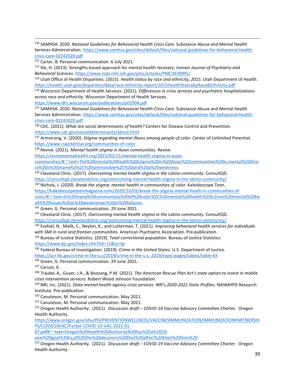<sup>130</sup> SAMHSA. 2020. *National Guidelines for Behavioral Health Crisis Care.* Substance Abuse and Mental Health Services Administration[. https://www.samhsa.gov/sites/default/files/national-guidelines-for-behavioral-health](https://www.samhsa.gov/sites/default/files/national-guidelines-for-behavioral-health-crisis-care-02242020.pdf)[crisis-care-02242020.pdf](https://www.samhsa.gov/sites/default/files/national-guidelines-for-behavioral-health-crisis-care-02242020.pdf)

131 Carter, B. Personal communication. 6 July 2021.

<sup>132</sup> Xie, H. (2013). Strengths-based approach for mental health recovery. *Iranian Journal of Psychiatry and Behavioral Sciences.* <https://www.ncbi.nlm.nih.gov/pmc/articles/PMC3939995/>

<sup>133</sup> Utah Office of Health Disparities. (2015). *Health status by race and ethnicity, 2015.* Utah Department of Health. <https://health.utah.gov/disparities/data/race-ethnicity-report/2015HealthStatusbyRace&Ethnicity.pdf>

<sup>134</sup> Wisconsin Department of Health Services. (2021). *Differences in crisis services and psychiatric hospitalizations across race and ethnicity.* Wisconsin Department of Health Services.

<https://www.dhs.wisconsin.gov/publications/p02904.pdf>

<sup>135</sup> SAMHSA. 2020. *National Guidelines for Behavioral Health Crisis Care.* Substance Abuse and Mental Health Services Administration[. https://www.samhsa.gov/sites/default/files/national-guidelines-for-behavioral-health](https://www.samhsa.gov/sites/default/files/national-guidelines-for-behavioral-health-crisis-care-02242020.pdf)[crisis-care-02242020.pdf](https://www.samhsa.gov/sites/default/files/national-guidelines-for-behavioral-health-crisis-care-02242020.pdf)

<sup>136</sup> CDC. (2021). *What are social determinants of health?* Centers for Disease Control and Prevention. <https://www.cdc.gov/socialdeterminants/about.html>

<sup>137</sup> Armstrong, V. (2020). *Stigma regarding mental illness among people of color.* Center of Unlimited Potential. <https://www.cupotential.org/communities-of-color>

<sup>138</sup> Revive. (2021). *Mental health stigma in Asian communities.* Revive.

[https://revivementalhealth.org/2021/02/11/mental-health-stigma-in-asian-](https://revivementalhealth.org/2021/02/11/mental-health-stigma-in-asian-communities/#:%7E:text=The%20mental%20health%20stigma%20in%20Asian%20communities%20is,mental%20illness%20is%20shameful%2C%20untreatable%2C%20and%20a%20weakness)

[communities/#:~:text=The%20mental%20health%20stigma%20in%20Asian%20communities%20is,mental%20illne](https://revivementalhealth.org/2021/02/11/mental-health-stigma-in-asian-communities/#:%7E:text=The%20mental%20health%20stigma%20in%20Asian%20communities%20is,mental%20illness%20is%20shameful%2C%20untreatable%2C%20and%20a%20weakness) [ss%20is%20shameful%2C%20untreatable%2C%20and%20a%20weakness.](https://revivementalhealth.org/2021/02/11/mental-health-stigma-in-asian-communities/#:%7E:text=The%20mental%20health%20stigma%20in%20Asian%20communities%20is,mental%20illness%20is%20shameful%2C%20untreatable%2C%20and%20a%20weakness) 139 Cleveland Clinic. (2017). *Overcoming mental health stigma in the Latino community.* ConsultQD.

<span id="page-39-0"></span><https://consultqd.clevelandclinic.org/overcoming-mental-health-stigma-in-the-latino-community/>

<sup>140</sup> Nichols, J. (2020). *Break the stigma: mental health in communities of color*. Kaleidoscope Teen.

<span id="page-39-1"></span>[https://kaleidoscopeteenmagazine.com/2020/10/02/break-the-stigma-mental-heath-in-communities-of-](https://kaleidoscopeteenmagazine.com/2020/10/02/break-the-stigma-mental-heath-in-communities-of-color/#:%7E:text=In%20many%20communities%20of%20color%2C%20mental%20health%20is,from%20mental%20health%20issues%20as%20weaknesses%20or%20failures)

[color/#:~:text=In%20many%20communities%20of%20color%2C%20mental%20health%20is,from%20mental%20he](https://kaleidoscopeteenmagazine.com/2020/10/02/break-the-stigma-mental-heath-in-communities-of-color/#:%7E:text=In%20many%20communities%20of%20color%2C%20mental%20health%20is,from%20mental%20health%20issues%20as%20weaknesses%20or%20failures) [alth%20issues%20as%20weaknesses%20or%20failures.](https://kaleidoscopeteenmagazine.com/2020/10/02/break-the-stigma-mental-heath-in-communities-of-color/#:%7E:text=In%20many%20communities%20of%20color%2C%20mental%20health%20is,from%20mental%20health%20issues%20as%20weaknesses%20or%20failures) 141 Green, G. Personal communication. 29 June 2021.

<span id="page-39-3"></span><span id="page-39-2"></span><sup>142</sup> Cleveland Clinic. (2017). *Overcoming mental health stigma in the Latino community.* ConsultQD. <https://consultqd.clevelandclinic.org/overcoming-mental-health-stigma-in-the-latino-community/>

<sup>143</sup> Ezekiel, N., Malik, C., Neylon, K., and Lutterman, T. (2021). *Improving behavioral health services for individuals with SMI in rural and frontier communities.* American Psychiatric Association. Pre-publication.

<span id="page-39-6"></span><span id="page-39-5"></span><span id="page-39-4"></span><sup>144</sup> Bureau of Justice Statistics. (2019). *Total correctional population.* Bureau of Justice Statistics. <https://www.bjs.gov/index.cfm?tid=11&ty=tp>

<span id="page-39-7"></span><sup>145</sup> Federal Bureau of Investigation. (2019). *Crime in the United States.* U.S. Department of Justice. <https://ucr.fbi.gov/crime-in-the-u.s/2019/crime-in-the-u.s.-2019/topic-pages/tables/table-43>

<sup>146</sup> Green, G. Personal communication. 29 June 2021.

<span id="page-39-8"></span><sup>147</sup> Carson, K.

<sup>148</sup> Traube, A., Guyer, J.A., & Boozang, P.M. (2021). *The American Rescue Plan Act's state option to invest in mobile crisis intervention services.* Robert Wood Johnson Foundation.

<span id="page-39-9"></span><sup>149</sup> NRI, Inc. (2021). *State mental health agency crisis services: NRI's 2020-2021 State Profiles.* NASMHPD Research Institute. Pre-publication.

<sup>150</sup> Canuteson, M. Personal communication. May 2021.

<span id="page-39-10"></span><sup>151</sup> Canuteson, M. Personal communication. May 2021.

<sup>152</sup> Oregon Health Authority. (2021). *Discussion draft – COVID-19 Vaccine Advisory Committee Charter.* Oregon Health Authority.

<span id="page-39-11"></span>[https://www.oregon.gov/oha/PH/PREVENTIONWELLNESS/VACCINESIMMUNIZATION/IMMUNIZATIONPARTNERSHI](https://www.oregon.gov/oha/PH/PREVENTIONWELLNESS/VACCINESIMMUNIZATION/IMMUNIZATIONPARTNERSHIPS/COVID19VAC/Packet-COVID-19-VAC-2021-01-07.pdf#:%7E:text=Oregon%20Health%20Authority%20has%20a%2010-year%20goal%20to,of%20the%20decisions%20that%20affect%20their%20lives%20) [PS/COVID19VAC/Packet-COVID-19-VAC-2021-01-](https://www.oregon.gov/oha/PH/PREVENTIONWELLNESS/VACCINESIMMUNIZATION/IMMUNIZATIONPARTNERSHIPS/COVID19VAC/Packet-COVID-19-VAC-2021-01-07.pdf#:%7E:text=Oregon%20Health%20Authority%20has%20a%2010-year%20goal%20to,of%20the%20decisions%20that%20affect%20their%20lives%20)

[07.pdf#:~:text=Oregon%20Health%20Authority%20has%20a%2010-](https://www.oregon.gov/oha/PH/PREVENTIONWELLNESS/VACCINESIMMUNIZATION/IMMUNIZATIONPARTNERSHIPS/COVID19VAC/Packet-COVID-19-VAC-2021-01-07.pdf#:%7E:text=Oregon%20Health%20Authority%20has%20a%2010-year%20goal%20to,of%20the%20decisions%20that%20affect%20their%20lives%20)

<span id="page-39-12"></span>[year%20goal%20to,of%20the%20decisions%20that%20affect%20their%20lives%20](https://www.oregon.gov/oha/PH/PREVENTIONWELLNESS/VACCINESIMMUNIZATION/IMMUNIZATIONPARTNERSHIPS/COVID19VAC/Packet-COVID-19-VAC-2021-01-07.pdf#:%7E:text=Oregon%20Health%20Authority%20has%20a%2010-year%20goal%20to,of%20the%20decisions%20that%20affect%20their%20lives%20)

<span id="page-39-13"></span><sup>153</sup> Oregon Health Authority. (2021). *Discussion draft – COVID-19 Vaccine Advisory Committee Charter.* Oregon Health Authority.